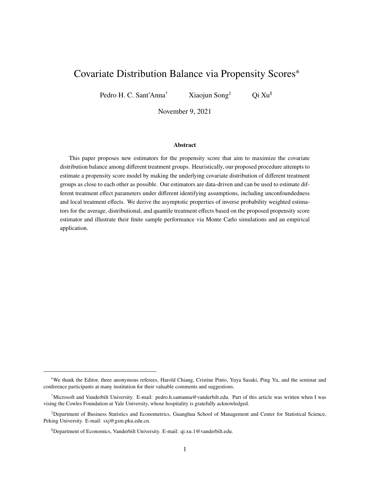# <span id="page-0-0"></span>Covariate Distribution Balance via Propensity Scores<sup>∗</sup>

Pedro H. C. Sant'Anna<sup>†</sup> Xiaojun Song<sup>‡</sup> Qi Xu<sup>§</sup>

November 9, 2021

#### **Abstract**

This paper proposes new estimators for the propensity score that aim to maximize the covariate distribution balance among different treatment groups. Heuristically, our proposed procedure attempts to estimate a propensity score model by making the underlying covariate distribution of different treatment groups as close to each other as possible. Our estimators are data-driven and can be used to estimate different treatment effect parameters under different identifying assumptions, including unconfoundedness and local treatment effects. We derive the asymptotic properties of inverse probability weighted estimators for the average, distributional, and quantile treatment effects based on the proposed propensity score estimator and illustrate their finite sample performance via Monte Carlo simulations and an empirical application.

<sup>∗</sup>We thank the Editor, three anonymous referees, Harold Chiang, Cristine Pinto, Yuya Sasaki, Ping Yu, and the seminar and conference participants at many institution for their valuable comments and suggestions.

<sup>†</sup>Microsoft and Vanderbilt University. E-mail: pedro.h.santanna@vanderbilt.edu. Part of this article was written when I was vising the Cowles Foundation at Yale University, whose hospitality is gratefully acknowledged.

<sup>‡</sup>Department of Business Statistics and Econometrics, Guanghua School of Management and Center for Statistical Science, Peking University. E-mail: sxj@gsm.pku.edu.cn.

<sup>§</sup>Department of Economics, Vanderbilt University. E-mail: qi.xu.1@vanderbilt.edu.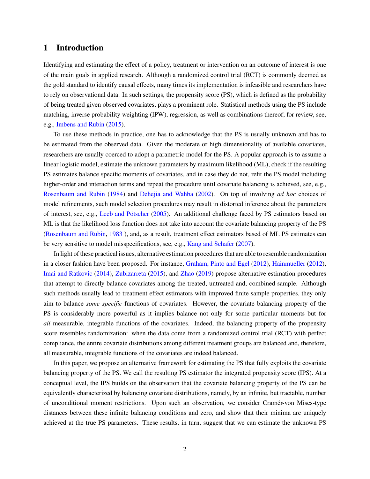## <span id="page-1-0"></span>**1 Introduction**

Identifying and estimating the effect of a policy, treatment or intervention on an outcome of interest is one of the main goals in applied research. Although a randomized control trial (RCT) is commonly deemed as the gold standard to identify causal effects, many times its implementation is infeasible and researchers have to rely on observational data. In such settings, the propensity score (PS), which is defined as the probability of being treated given observed covariates, plays a prominent role. Statistical methods using the PS include matching, inverse probability weighting (IPW), regression, as well as combinations thereof; for review, see, e.g., [Imbens and Rubin](#page-32-0) [\(2015\)](#page-32-0).

To use these methods in practice, one has to acknowledge that the PS is usually unknown and has to be estimated from the observed data. Given the moderate or high dimensionality of available covariates, researchers are usually coerced to adopt a parametric model for the PS. A popular approach is to assume a linear logistic model, estimate the unknown parameters by maximum likelihood (ML), check if the resulting PS estimates balance specific moments of covariates, and in case they do not, refit the PS model including higher-order and interaction terms and repeat the procedure until covariate balancing is achieved, see, e.g., [Rosenbaum and Rubin](#page-33-0) [\(1984\)](#page-33-0) and [Dehejia and Wahba](#page-31-0) [\(2002\)](#page-31-0). On top of involving *ad hoc* choices of model refinements, such model selection procedures may result in distorted inference about the parameters of interest, see, e.g., [Leeb and Pötscher](#page-33-1) [\(2005\)](#page-33-1). An additional challenge faced by PS estimators based on ML is that the likelihood loss function does not take into account the covariate balancing property of the PS [\(Rosenbaum and Rubin,](#page-33-2) [1983](#page-33-2) ), and, as a result, treatment effect estimators based of ML PS estimates can be very sensitive to model misspecifications, see, e.g., [Kang and Schafer](#page-32-1) [\(2007\)](#page-32-1).

In light of these practical issues, alternative estimation procedures that are able to resemble randomization in a closer fashion have been proposed. For instance, [Graham, Pinto and Egel](#page-32-2) [\(2012\)](#page-32-2), [Hainmueller](#page-32-3) [\(2012\)](#page-32-3), [Imai and Ratkovic](#page-32-4) [\(2014\)](#page-32-4), [Zubizarreta](#page-33-3) [\(2015\)](#page-33-3), and [Zhao](#page-33-4) [\(2019\)](#page-33-4) propose alternative estimation procedures that attempt to directly balance covariates among the treated, untreated and, combined sample. Although such methods usually lead to treatment effect estimators with improved finite sample properties, they only aim to balance *some specific* functions of covariates. However, the covariate balancing property of the PS is considerably more powerful as it implies balance not only for some particular moments but for *all* measurable, integrable functions of the covariates. Indeed, the balancing property of the propensity score resembles randomization: when the data come from a randomized control trial (RCT) with perfect compliance, the entire covariate distributions among different treatment groups are balanced and, therefore, all measurable, integrable functions of the covariates are indeed balanced.

In this paper, we propose an alternative framework for estimating the PS that fully exploits the covariate balancing property of the PS. We call the resulting PS estimator the integrated propensity score (IPS). At a conceptual level, the IPS builds on the observation that the covariate balancing property of the PS can be equivalently characterized by balancing covariate distributions, namely, by an infinite, but tractable, number of unconditional moment restrictions. Upon such an observation, we consider Cramér-von Mises-type distances between these infinite balancing conditions and zero, and show that their minima are uniquely achieved at the true PS parameters. These results, in turn, suggest that we can estimate the unknown PS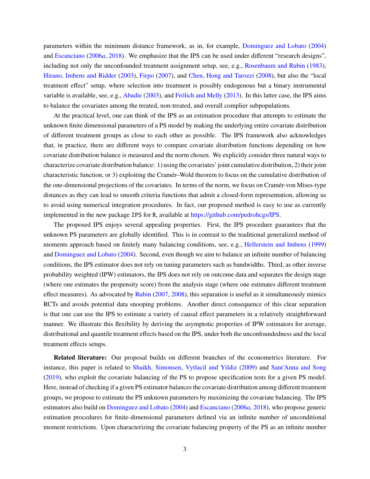parameters within the minimum distance framework, as in, for example, [Dominguez and Lobato](#page-31-1) [\(2004\)](#page-31-1) and [Escanciano](#page-32-5) [\(2006](#page-32-5)*a*, [2018\)](#page-32-6). We emphasize that the IPS can be used under different "research designs", including not only the unconfounded treatment assignment setup, see, e.g., [Rosenbaum and Rubin](#page-33-2) [\(1983\)](#page-33-2), [Hirano, Imbens and Ridder](#page-32-7) [\(2003\)](#page-32-7), [Firpo](#page-32-8) [\(2007\)](#page-32-8), and [Chen, Hong and Tarozzi](#page-31-2) [\(2008\)](#page-31-2), but also the "local treatment effect" setup, where selection into treatment is possibly endogenous but a binary instrumental variable is available, see, e.g., [Abadie](#page-31-3) [\(2003\)](#page-31-3), and [Frölich and Melly](#page-32-9) [\(2013\)](#page-32-9). In this latter case, the IPS aims to balance the covariates among the treated, non-treated, and overall complier subpopulations.

At the practical level, one can think of the IPS as an estimation procedure that attempts to estimate the unknown finite dimensional parameters of a PS model by making the underlying entire covariate distribution of different treatment groups as close to each other as possible. The IPS framework also acknowledges that, in practice, there are different ways to compare covariate distribution functions depending on how covariate distribution balance is measured and the norm chosen. We explicitly consider three natural ways to characterize covariate distribution balance: 1) using the covariates' joint cumulative distribution, 2) their joint characteristic function, or 3) exploiting the Cramér–Wold theorem to focus on the cumulative distribution of the one-dimensional projections of the covariates. In terms of the norm, we focus on Cramér-von Mises-type distances as they can lead to smooth criteria functions that admit a closed-form representation, allowing us to avoid using numerical integration procedures. In fact, our proposed method is easy to use as currently implemented in the new package IPS for R, available at [https://github.com/pedrohcgs/IPS.](https://github.com/pedrohcgs/IPS)

The proposed IPS enjoys several appealing properties. First, the IPS procedure guarantees that the unknown PS parameters are globally identified. This is in contrast to the traditional generalized method of moments approach based on finitely many balancing conditions, see, e.g., [Hellerstein and Imbens](#page-32-10) [\(1999\)](#page-32-10) and [Dominguez and Lobato](#page-31-1) [\(2004\)](#page-31-1). Second, even though we aim to balance an infinite number of balancing conditions, the IPS estimator does not rely on tuning parameters such as bandwidths. Third, as other inverse probability weighted (IPW) estimators, the IPS does not rely on outcome data and separates the design stage (where one estimates the propensity score) from the analysis stage (where one estimates different treatment effect measures). As advocated by [Rubin](#page-33-5) [\(2007,](#page-33-5) [2008\)](#page-33-6), this separation is useful as it simultaneously mimics RCTs and avoids potential data snooping problems. Another direct consequence of this clear separation is that one can use the IPS to estimate a variety of causal effect parameters in a relatively straightforward manner. We illustrate this flexibility by deriving the asymptotic properties of IPW estimators for average, distributional and quantile treatment effects based on the IPS, under both the unconfoundedness and the local treatment effects setups.

**Related literature:** Our proposal builds on different branches of the econometrics literature. For instance, this paper is related to [Shaikh, Simonsen, Vytlacil and Yildiz](#page-33-7) [\(2009\)](#page-33-7) and [Sant'Anna and Song](#page-33-8) [\(2019\)](#page-33-8), who exploit the covariate balancing of the PS to propose specification tests for a given PS model. Here, instead of checking if a given PS estimator balances the covariate distribution among different treatment groups, we propose to estimate the PS unknown parameters by maximizing the covariate balancing. The IPS estimators also build on [Dominguez and Lobato](#page-31-1) [\(2004\)](#page-31-1) and [Escanciano](#page-32-5) [\(2006](#page-32-5)*a*, [2018\)](#page-32-6), who propose generic estimation procedures for finite-dimensional parameters defined via an infinite number of unconditional moment restrictions. Upon characterizing the covariate balancing property of the PS as an infinite number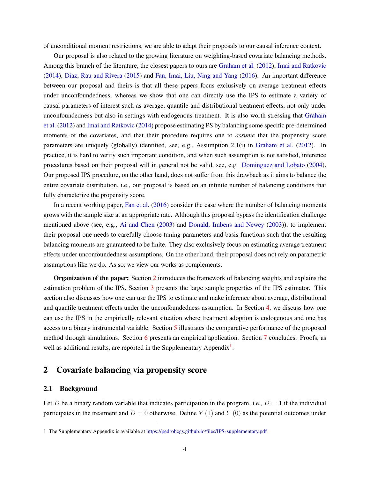of unconditional moment restrictions, we are able to adapt their proposals to our causal inference context.

Our proposal is also related to the growing literature on weighting-based covariate balancing methods. Among this branch of the literature, the closest papers to ours are [Graham et al.](#page-32-2) [\(2012\)](#page-32-2), [Imai and Ratkovic](#page-32-4) [\(2014\)](#page-32-4), [Díaz, Rau and Rivera](#page-31-4) [\(2015\)](#page-31-4) and [Fan, Imai, Liu, Ning and Yang](#page-32-11) [\(2016\)](#page-32-11). An important difference between our proposal and theirs is that all these papers focus exclusively on average treatment effects under unconfoundedness, whereas we show that one can directly use the IPS to estimate a variety of causal parameters of interest such as average, quantile and distributional treatment effects, not only under unconfoundedness but also in settings with endogenous treatment. It is also worth stressing that [Graham](#page-32-2) [et al.](#page-32-2) [\(2012\)](#page-32-2) and [Imai and Ratkovic](#page-32-4) [\(2014\)](#page-32-4) propose estimating PS by balancing some specific pre-determined moments of the covariates, and that their procedure requires one to *assume* that the propensity score parameters are uniquely (globally) identified, see, e.g., Assumption 2.1(i) in [Graham et al.](#page-32-2) [\(2012\)](#page-32-2). In practice, it is hard to verify such important condition, and when such assumption is not satisfied, inference procedures based on their proposal will in general not be valid, see, e.g. [Dominguez and Lobato](#page-31-1) [\(2004\)](#page-31-1). Our proposed IPS procedure, on the other hand, does not suffer from this drawback as it aims to balance the entire covariate distribution, i.e., our proposal is based on an infinite number of balancing conditions that fully characterize the propensity score.

In a recent working paper, [Fan et al.](#page-32-11) [\(2016\)](#page-32-11) consider the case where the number of balancing moments grows with the sample size at an appropriate rate. Although this proposal bypass the identification challenge mentioned above (see, e.g., [Ai and Chen](#page-31-5) [\(2003\)](#page-31-5) and [Donald, Imbens and Newey](#page-32-12) [\(2003\)](#page-32-12)), to implement their proposal one needs to carefully choose tuning parameters and basis functions such that the resulting balancing moments are guaranteed to be finite. They also exclusively focus on estimating average treatment effects under unconfoundedness assumptions. On the other hand, their proposal does not rely on parametric assumptions like we do. As so, we view our works as complements.

**Organization of the paper:** Section [2](#page-3-0) introduces the framework of balancing weights and explains the estimation problem of the IPS. Section [3](#page-8-0) presents the large sample properties of the IPS estimator. This section also discusses how one can use the IPS to estimate and make inference about average, distributional and quantile treatment effects under the unconfoundedness assumption. In Section [4,](#page-12-0) we discuss how one can use the IPS in the empirically relevant situation where treatment adoption is endogenous and one has access to a binary instrumental variable. Section [5](#page-17-0) illustrates the comparative performance of the proposed method through simulations. Section [6](#page-26-0) presents an empirical application. Section [7](#page-30-0) concludes. Proofs, as well as additional results, are reported in the Supplementary Appendix<sup>[1](#page-0-0)</sup>.

# <span id="page-3-0"></span>**2 Covariate balancing via propensity score**

#### <span id="page-3-1"></span>**2.1 Background**

Let D be a binary random variable that indicates participation in the program, i.e.,  $D = 1$  if the individual participates in the treatment and  $D = 0$  otherwise. Define Y (1) and Y (0) as the potential outcomes under

<sup>1</sup> The Supplementary Appendix is available at <https://pedrohcgs.github.io/files/IPS-supplementary.pdf>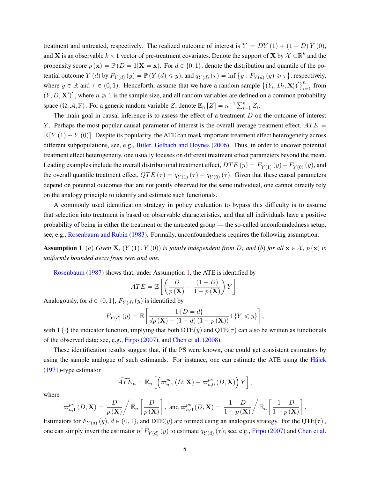treatment and untreated, respectively. The realized outcome of interest is  $Y = DY(1) + (1 - D)Y(0)$ , and X is an observable  $k \times 1$  vector of pre-treatment covariates. Denote the support of X by  $\mathcal{X} \subset \mathbb{R}^k$  and the propensity score  $p(\mathbf{x}) = \mathbb{P}(D = 1 | \mathbf{X} = \mathbf{x})$ . For  $d \in \{0, 1\}$ , denote the distribution and quantile of the popropertial outcome  $Y(d)$  by  $F_{Y(d)}(y) = \mathbb{P}(Y(d) \leq y)$ , and  $q_{Y(d)}(\tau) = \inf \{y : F_{Y(d)}(y) \geq \tau\}$ , respectively, where  $y \in \mathbb{R}$  and  $\tau \in (0, 1)$ . Henceforth, assume that we have a random sample  $\{(Y_i, D_i, \mathbf{X}_i')\}$ <br>where  $y \in \mathbb{R}$  and  $\tau \in (0, 1)$ . Henceforth, assume that we have a random sample  $\{(Y_i, D_i, \mathbf{X}_i')\}$  $\sum_{i=1}^n$  from  $(Y, D, \mathbf{X}')'$ , where  $n \geq 1$  is the sample size, and all random variables are defined on a common probability space  $(\Omega, \mathcal{A}, \mathbb{P})$ . For a generic random variable Z, denote  $\mathbb{E}_n [Z] = n^{-1} \sum_{i=1}^n Z_i$ .

The main goal in causal inference is to assess the effect of a treatment  $D$  on the outcome of interest Y. Perhaps the most popular causal parameter of interest is the overall average treatment effect,  $ATE =$  $\mathbb{E}[Y(1) - Y(0)]$ . Despite its popularity, the ATE can mask important treatment effect heterogeneity across different subpopulations, see, e.g., [Bitler, Gelbach and Hoynes](#page-31-6) [\(2006\)](#page-31-6). Thus, in order to uncover potential treatment effect heterogeneity, one usually focuses on different treatment effect parameters beyond the mean. Leading examples include the overall distributional treatment effect,  $DTE(y) = F_{Y(1)}(y) - F_{Y(0)}(y)$ , and the overall quantile treatment effect,  $QTE(\tau) = q_{Y(1)}(\tau) - q_{Y(0)}(\tau)$ . Given that these causal parameters depend on potential outcomes that are not jointly observed for the same individual, one cannot directly rely on the analogy principle to identify and estimate such functionals.

A commonly used identification strategy in policy evaluation to bypass this difficulty is to assume that selection into treatment is based on observable characteristics, and that all individuals have a positive probability of being in either the treatment or the untreated group — the so-called unconfoundedness setup, see, e.g., [Rosenbaum and Rubin](#page-33-2) [\(1983\)](#page-33-2). Formally, unconfoundedness requires the following assumption.

<span id="page-4-0"></span>**Assumption 1** (a) Given **X**,  $(Y(1), Y(0))$  is jointly independent from D; and (b) for all  $\mathbf{x} \in \mathcal{X}$ ,  $p(\mathbf{x})$  is *uniformly bounded away from zero and one.*

[Rosenbaum](#page-33-9) [\(1987\)](#page-33-9) shows that, under Assumption [1,](#page-4-0) the ATE is identified by<br> $\sqrt{2E}$   $\sqrt{D}$   $(1-D)\sqrt{x}$ 

$$
ATE = \mathbb{E}\left[\left(\frac{D}{p\left(\mathbf{X}\right)} - \frac{(1-D)}{1-p\left(\mathbf{X}\right)}\right)Y\right].
$$

Analogously, for  $d \in \{0, 1\}$ ,  $F_{Y(d)}(y)$  is identified by

$$
F_{Y(d)}(y) = \mathbb{E}\left[\frac{1\{D = d\}}{dp\left(\mathbf{X}\right) + (1 - d)\left(1 - p\left(\mathbf{X}\right)\right)}\mathbf{1}\left\{Y \leq y\right\}\right],
$$

with  $1 \{\cdot\}$  the indicator function, implying that both DTE(y) and QTE( $\tau$ ) can also be written as functionals of the observed data; see, e.g., [Firpo](#page-32-8) [\(2007\)](#page-32-8), and [Chen et al.](#page-31-2) [\(2008\)](#page-31-2).

These identification results suggest that, if the PS were known, one could get consistent estimators by using the sample analogue of such estimands. For instance, one can estimate the ATE using the [Hájek](#page-32-13) [\(1971\)](#page-32-13)-type estimator "´ı

$$
\widetilde{ATE}_n = \mathbb{E}_n \left[ \left( \varpi_{n,1}^{ps} \left( D, \mathbf{X} \right) - \varpi_{n,0}^{ps} \left( D, \mathbf{X} \right) \right) Y \right],
$$

where

$$
\varpi_{n,1}^{ps}\left(D,\mathbf{X}\right)=\frac{D}{p\left(\mathbf{X}\right)}\Bigg/\,\mathbb{E}_{n}\left[\frac{D}{p\left(\mathbf{X}\right)}\right],\text{ and }\varpi_{n,0}^{ps}\left(D,\mathbf{X}\right)=\frac{1-D}{1-p\left(\mathbf{X}\right)}\Bigg/\,\mathbb{E}_{n}\left[\frac{1-D}{1-p\left(\mathbf{X}\right)}\right].
$$

Estimators for  $F_{Y(d)}(y)$ ,  $d \in \{0, 1\}$ , and DTE $(y)$  are formed using an analogous strategy. For the QTE $(\tau)$ , one can simply invert the estimator of  $F_{Y(d)}(y)$  to estimate  $q_{Y(d)}(\tau)$ ; see, e.g., [Firpo](#page-32-8) [\(2007\)](#page-32-8) and [Chen et al.](#page-31-2)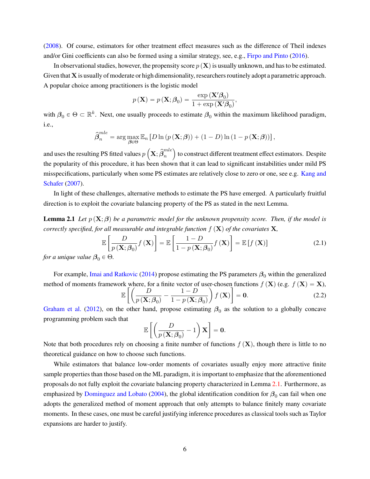[\(2008\)](#page-31-2). Of course, estimators for other treatment effect measures such as the difference of Theil indexes and/or Gini coefficients can also be formed using a similar strategy, see, e.g., [Firpo and Pinto](#page-32-14) [\(2016\)](#page-32-14).

In observational studies, however, the propensity score  $p(X)$  is usually unknown, and has to be estimated. Given that X is usually of moderate or high dimensionality, researchers routinely adopt a parametric approach. A popular choice among practitioners is the logistic model

$$
p\left(\mathbf{X}\right) = p\left(\mathbf{X}; \boldsymbol{\beta}_0\right) = \frac{\exp\left(\mathbf{X}'\boldsymbol{\beta}_0\right)}{1 + \exp\left(\mathbf{X}'\boldsymbol{\beta}_0\right)}
$$

with  $\beta_0 \in \Theta \subset \mathbb{R}^k$ . Next, one usually proceeds to estimate  $\beta_0$  within the maximum likelihood paradigm, i.e.,

$$
\widehat{\boldsymbol{\beta}}_n^{mle} = \arg \max_{\boldsymbol{\beta} \in \Theta} \mathbb{E}_n \left[ D \ln \left( p \left( \mathbf{X}; \boldsymbol{\beta} \right) \right) + (1 - D) \ln \left( 1 - p \left( \mathbf{X}; \boldsymbol{\beta} \right) \right) \right],
$$

and uses the resulting PS fitted values  $p$  $\mathbf{X}; \widehat{\bm{\beta}}^{mle}_n$ n to construct different treatment effect estimators. Despite the popularity of this procedure, it has been shown that it can lead to significant instabilities under mild PS misspecifications, particularly when some PS estimates are relatively close to zero or one, see e.g. [Kang and](#page-32-1) [Schafer](#page-32-1) [\(2007\)](#page-32-1).

In light of these challenges, alternative methods to estimate the PS have emerged. A particularly fruitful direction is to exploit the covariate balancing property of the PS as stated in the next Lemma.

<span id="page-5-0"></span>**Lemma 2.1** *Let*  $p(X; \beta)$  *be a parametric model for the unknown propensity score. Then, if the model is correctly specified, for all measurable and integrable function*  $f(\mathbf{X})$  *of the covariates*  $\mathbf{X}$ *,* 

<span id="page-5-1"></span>
$$
\mathbb{E}\left[\frac{D}{p\left(\mathbf{X};\boldsymbol{\beta}_{0}\right)}f\left(\mathbf{X}\right)\right]=\mathbb{E}\left[\frac{1-D}{1-p\left(\mathbf{X};\boldsymbol{\beta}_{0}\right)}f\left(\mathbf{X}\right)\right]=\mathbb{E}\left[f\left(\mathbf{X}\right)\right]
$$
\n
$$
\in\Theta\tag{2.1}
$$

,

*for a unique value*  $\beta_0 \in \Theta$ *.* 

For example, [Imai and Ratkovic](#page-32-4) [\(2014\)](#page-32-4) propose estimating the PS parameters  $\beta_0$  within the generalized method of moments framework where, for a finite vector of user-chosen functions  $f(\mathbf{X})$  (e.g.  $f(\mathbf{X}) = \mathbf{X}$ ), rk where, for<br> $\mathbb{E}\left[\begin{array}{c}D\end{array}\right]$  $-\frac{1-D}{1-\mu(\mathbf{Y})}$ ˙  $\mathbf{a}$ 

<span id="page-5-2"></span>
$$
\mathbb{E}\left[\left(\frac{D}{p(\mathbf{X};\beta_0)} - \frac{1}{1 - p(\mathbf{X};\beta_0)}\right)f(\mathbf{X})\right] = \mathbf{0}.\tag{2.2}
$$

[Graham et al.](#page-32-2) [\(2012\)](#page-32-2), on the other hand, propose estimating  $\beta_0$  as the solution to a globally concave programming problem such that  $\begin{bmatrix} \begin{pmatrix} & & \\ & D & \end{pmatrix}$ ȷ

$$
\mathbb{E}\left[\left(\frac{D}{p\left(\mathbf{X};\boldsymbol{\beta}_{0}\right)}-1\right)\mathbf{X}\right]=\mathbf{0}.
$$

Note that both procedures rely on choosing a finite number of functions  $f(\mathbf{X})$ , though there is little to no theoretical guidance on how to choose such functions.

While estimators that balance low-order moments of covariates usually enjoy more attractive finite sample properties than those based on the ML paradigm, it is important to emphasize that the aforementioned proposals do not fully exploit the covariate balancing property characterized in Lemma [2.1.](#page-5-0) Furthermore, as emphasized by [Dominguez and Lobato](#page-31-1) [\(2004\)](#page-31-1), the global identification condition for  $\beta_0$  can fail when one adopts the generalized method of moment approach that only attempts to balance finitely many covariate moments. In these cases, one must be careful justifying inference procedures as classical tools such as Taylor expansions are harder to justify.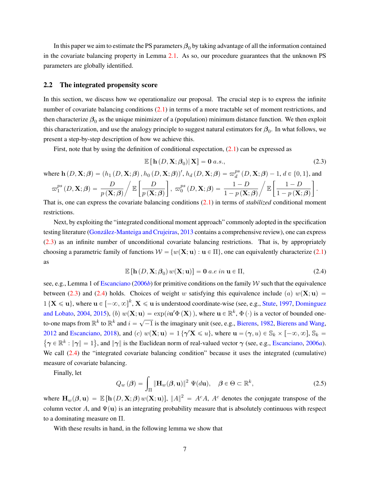In this paper we aim to estimate the PS parameters  $\beta_0$  by taking advantage of all the information contained in the covariate balancing property in Lemma [2.1.](#page-5-0) As so, our procedure guarantees that the unknown PS parameters are globally identified.

#### <span id="page-6-2"></span>**2.2 The integrated propensity score**

In this section, we discuss how we operationalize our proposal. The crucial step is to express the infinite number of covariate balancing conditions [\(2.1\)](#page-5-1) in terms of a more tractable set of moment restrictions, and then characterize  $\beta_0$  as the unique minimizer of a (population) minimum distance function. We then exploit this characterization, and use the analogy principle to suggest natural estimators for  $\beta_0$ . In what follows, we present a step-by-step description of how we achieve this.

First, note that by using the definition of conditional expectation,  $(2.1)$  can be expressed as

<span id="page-6-0"></span>
$$
\mathbb{E}\left[\mathbf{h}\left(D,\mathbf{X};\beta_{0}\right)|\mathbf{X}\right]=\mathbf{0} a.s.,\tag{2.3}
$$

where  $\mathbf{h}(D, \mathbf{X}; \boldsymbol{\beta}) = (h_1(D, \mathbf{X}; \boldsymbol{\beta}), h_0(D, \mathbf{X}; \boldsymbol{\beta}))', h_d(D, \mathbf{X}; \boldsymbol{\beta}) = \varpi_d^{ps}$  $\mathbf{X}(\boldsymbol{\beta})$ ,  $h_0(D,\mathbf{X};\boldsymbol{\beta})'$ ,  $h_d(D,\mathbf{X};\boldsymbol{\beta}) = \varpi_d^{ps}(D,\mathbf{X};\boldsymbol{\beta}) - 1$ ,  $d \in \{0,1\}$ , and

$$
\varpi_1^{ps}(D, \mathbf{X}; \boldsymbol{\beta}) = \frac{D}{p(\mathbf{X}; \boldsymbol{\beta})} / \mathbb{E}\left[\frac{D}{p(\mathbf{X}; \boldsymbol{\beta})}\right], \ \varpi_0^{ps}(D, \mathbf{X}; \boldsymbol{\beta}) = \frac{1 - D}{1 - p(\mathbf{X}; \boldsymbol{\beta})} / \mathbb{E}\left[\frac{1 - D}{1 - p(\mathbf{X}; \boldsymbol{\beta})}\right].
$$

That is, one can express the covariate balancing conditions [\(2.1\)](#page-5-1) in terms of *stabilized* conditional moment restrictions.

Next, by exploiting the "integrated conditional moment approach" commonly adopted in the specification testing literature [\(González-Manteiga and Crujeiras,](#page-32-15) [2013](#page-32-15) contains a comprehensive review), one can express [\(2.3\)](#page-6-0) as an infinite number of unconditional covariate balancing restrictions. That is, by appropriately choosing a parametric family of functions  $W = \{w(\mathbf{X}; \mathbf{u}) : \mathbf{u} \in \Pi\}$ , one can equivalently characterize [\(2.1\)](#page-5-1) as

<span id="page-6-1"></span>
$$
\mathbb{E}\left[\mathbf{h}\left(D,\mathbf{X};\boldsymbol{\beta}_{0}\right)w(\mathbf{X};\mathbf{u})\right]=\mathbf{0}\ a.e\ in\ \mathbf{u}\in\Pi,\tag{2.4}
$$

see, e.g., Lemma 1 of [Escanciano](#page-32-16) [\(2006](#page-32-16)*b*) for primitive conditions on the family W such that the equivalence between [\(2.3\)](#page-6-0) and [\(2.4\)](#page-6-1) holds. Choices of weight w satisfying this equivalence include (a)  $w(\mathbf{X}; \mathbf{u}) =$  $1 \{X \leq u\}$ , where  $u \in [-\infty, \infty]^k$ ,  $X \leq u$  is understood coordinate-wise (see, e.g., [Stute,](#page-33-10) [1997,](#page-33-10) [Dominguez](#page-31-1) [and Lobato,](#page-31-1) [2004,](#page-31-1) [2015\)](#page-32-17), (b)  $w(\mathbf{X}; \mathbf{u}) = \exp(i\mathbf{u}'\Phi(\mathbf{X}))$ , where  $\mathbf{u} \in \mathbb{R}^k$ ,  $\Phi(\cdot)$  is a vector of bounded oneto-one maps from  $\mathbb{R}^k$  to  $\mathbb{R}^k$  and  $i = \sqrt{-1}$  is the imaginary unit (see, e.g., [Bierens,](#page-31-7) [1982,](#page-31-7) [Bierens and Wang,](#page-31-8) [2012](#page-31-8) and [Escanciano,](#page-32-6) [2018\)](#page-32-6), and (c)  $w(\mathbf{X}; \mathbf{u}) = 1 \{ \gamma' \mathbf{X} \leq u \}$ , where  $\mathbf{u} = (\gamma, u) \in \mathbb{S}_k \times [-\infty, \infty]$ ,  $\mathbb{S}_k =$  $\gamma \in \mathbb{R}^k : \|\gamma\| = 1$ , and  $\|\gamma\|$  is the Euclidean norm of real-valued vector  $\gamma$  (see, e.g., [Escanciano,](#page-32-5) [2006](#page-32-5)*a*). We call  $(2.4)$  the "integrated covariate balancing condition" because it uses the integrated (cumulative) measure of covariate balancing.

Finally, let

$$
Q_w(\boldsymbol{\beta}) = \int_{\Pi} \|\mathbf{H}_w(\boldsymbol{\beta}, \mathbf{u})\|^2 \ \Psi(d\mathbf{u}), \quad \boldsymbol{\beta} \in \Theta \subset \mathbb{R}^k,
$$
 (2.5)

where  $\mathbf{H}_w(\beta, \mathbf{u}) = \mathbb{E} [\mathbf{h}(D, \mathbf{X}; \beta) w(\mathbf{X}; \mathbf{u})], ||A||^2 = A^c A$ , A<sup>c</sup> denotes the conjugate transpose of the column vector A, and  $\Psi(\mathbf{u})$  is an integrating probability measure that is absolutely continuous with respect to a dominating measure on Π.

With these results in hand, in the following lemma we show that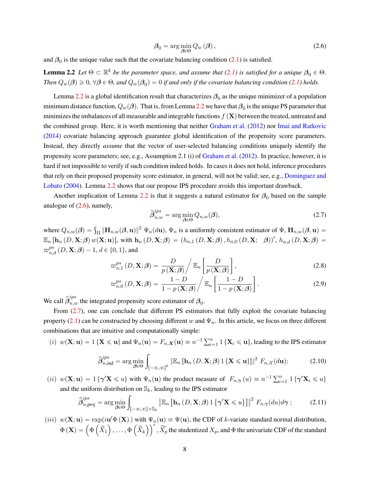<span id="page-7-1"></span>
$$
\beta_0 = \arg\min_{\beta \in \Theta} Q_w(\beta), \qquad (2.6)
$$

and  $\beta_0$  is the unique value such that the covariate balancing condition [\(2.1\)](#page-5-1) is satisfied.

<span id="page-7-0"></span>**Lemma 2.2** *Let*  $\Theta \subset \mathbb{R}^k$  *be the parameter space, and assume that* [\(2.1\)](#page-5-1) *is satisfied for a unique*  $\beta_0 \in \Theta$ . *Then*  $Q_w(\beta) \geqslant 0$ ,  $\forall \beta \in \Theta$ , and  $Q_w(\beta_0) = 0$  if and only if the covariate balancing condition [\(2.1\)](#page-5-1) holds.

Lemma [2.2](#page-7-0) is a global identification result that characterizes  $\beta_0$  as the unique minimizer of a population minimum distance function,  $Q_w(\beta)$ . That is, from Lemma [2.2](#page-7-0) we have that  $\beta_0$  is the unique PS parameter that minimizes the imbalances of all measurable and integrable functions  $f(\mathbf{X})$  between the treated, untreated and the combined group. Here, it is worth mentioning that neither [Graham et al.](#page-32-2) [\(2012\)](#page-32-2) nor [Imai and Ratkovic](#page-32-4) [\(2014\)](#page-32-4) covariate balancing approach guarantee global identification of the propensity score parameters. Instead, they directly *assume* that the vector of user-selected balancing conditions uniquely identify the propensity score parameters; see, e.g., Assumption 2.1 (i) of [Graham et al.](#page-32-2) [\(2012\)](#page-32-2). In practice, however, it is hard if not impossible to verify if such condition indeed holds. In cases it does not hold, inference procedures that rely on their proposed propensity score estimator, in general, will not be valid; see, e.g., [Dominguez and](#page-31-1) [Lobato](#page-31-1) [\(2004\)](#page-31-1). Lemma [2.2](#page-7-0) shows that our propose IPS procedure avoids this important drawback.

Another implication of Lemma [2.2](#page-7-0) is that it suggests a natural estimator for  $\beta_0$  based on the sample analogue of  $(2.6)$ , namely,

<span id="page-7-6"></span><span id="page-7-5"></span><span id="page-7-2"></span>
$$
\hat{\beta}_{n,w}^{ips} = \arg\min_{\beta \in \Theta} Q_{n,w}(\beta),\tag{2.7}
$$

where  $Q_{n,w}(\beta) = \int_{\Pi} \|\mathbf{H}_{n,w}(\beta, \mathbf{u})\|^2 \Psi_n(d\mathbf{u}), \Psi_n$  is a uniformly consistent estimator of  $\Psi$ ,  $\mathbf{H}_{n,w}(\beta, \mathbf{u}) =$  $\mathbb{E}_n\left[\mathbf{h}_n(D,\mathbf{X};\boldsymbol{\beta})w(\mathbf{X};\mathbf{u})\right]$ , with  $\mathbf{h}_n(D,\mathbf{X};\boldsymbol{\beta}) = (h_{n,1}(D,\mathbf{X};\boldsymbol{\beta}), h_{n,0}(D,\mathbf{X}; \boldsymbol{\beta}))'$ ,  $h_{n,d}(D,\mathbf{X};\boldsymbol{\beta}) =$  $\varpi_{n,d}^{ps}\left(D,\mathbf{X};\boldsymbol{\beta}\right) - 1, d \in \{0,1\},$  and " ȷ

$$
\varpi_{n,1}^{ps}(D,\mathbf{X};\boldsymbol{\beta})=\frac{D}{p(\mathbf{X};\boldsymbol{\beta})}\bigg/\mathbb{E}_n\left[\frac{D}{p(\mathbf{X};\boldsymbol{\beta})}\right],\tag{2.8}
$$

$$
\varpi_{n,0}^{ps}(D,\mathbf{X};\boldsymbol{\beta})=\frac{1-D}{1-p(\mathbf{X};\boldsymbol{\beta})}\bigg/\mathbb{E}_n\bigg[\frac{1-D}{1-p(\mathbf{X};\boldsymbol{\beta})}\bigg].\tag{2.9}
$$

We call  $\hat{\beta}^{ips}_{n,w}$  the integrated propensity score estimator of  $\beta_0$ .

From [\(2.7\)](#page-7-2), one can conclude that different PS estimators that fully exploit the covariate balancing property [\(2.1\)](#page-5-1) can be constructed by choosing different w and  $\Psi_n$ . In this article, we focus on three different combinations that are intuitive and computationally simple:

(i)  $w(\mathbf{X}; \mathbf{u}) = 1$  { $\mathbf{X} \leq \mathbf{u}$ } and  $\Psi_n(\mathbf{u}) = F_{n,\mathbf{X}}(\mathbf{u}) \equiv n^{-1} \sum_{i=1}^n 1$  { $\mathbf{X}_i \leq \mathbf{u}$ }, leading to the IPS estimator

<span id="page-7-3"></span>
$$
\hat{\boldsymbol{\beta}}_{n,\text{ind}}^{\text{ips}} = \arg\min_{\boldsymbol{\beta}\in\Theta} \int_{[-\infty,\infty]^k} \|\mathbb{E}_n\left[\mathbf{h}_n\left(D,\mathbf{X};\boldsymbol{\beta}\right)\mathbf{1}\left\{\mathbf{X}\leqslant\mathbf{u}\right\}\right]\|^2 F_{n,X}(d\mathbf{u});\tag{2.10}
$$

(*ii*)  $w(\mathbf{X}; \mathbf{u}) = 1 \{ \gamma' \mathbf{X} \leq u \}$  with  $\Psi_n(\mathbf{u})$  the product measure of  $F_{n,\gamma}(u) \equiv n^{-1} \sum_{i=1}^n 1 \{ \gamma' \mathbf{X}_i \leq u \}$ and the uniform distribution on  $\mathbb{S}_k$ , leading to the IPS estimator

<span id="page-7-4"></span>
$$
\widehat{\boldsymbol{\beta}}_{n,\text{proj}}^{ips} = \arg\min_{\boldsymbol{\beta}\in\Theta} \int_{[-\infty,\infty]\times\mathbb{S}_k} \left\| \mathbb{E}_n \left[ \mathbf{h}_n \left( D, \mathbf{X}; \boldsymbol{\beta} \right) \mathbf{1} \left\{ \gamma' \mathbf{X} \leqslant u \right\} \right] \right\|^2 F_{n,\gamma}(du) d\gamma ; \tag{2.11}
$$

(*iii*)  $w(\mathbf{X}; \mathbf{u}) = \exp(i\mathbf{u}'\Phi(\mathbf{X}))$  with  $\Psi_n(\mathbf{u}) \equiv \Psi(\mathbf{u})$ , the CDF of k-variate standard normal distribution,  $w(\mathbf{X}; \mathbf{u}) = \exp(i \mathbf{u}' \mathbf{\Phi}(\mathbf{X}))$  with<br>  $\Phi(\mathbf{X}) = \left( \Phi\left(\widetilde{X}_1\right), \ldots, \Phi\left(\widetilde{X}_k\right) \right)$  $\frac{1}{1}$ ,  $\widetilde{X}_p$  the studentized  $X_p$ , and  $\Phi$  the univariate CDF of the standard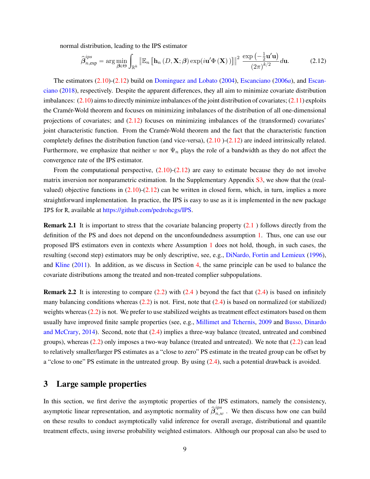normal distribution, leading to the IPS estimator ż

<span id="page-8-1"></span>
$$
\hat{\beta}_{n,\exp}^{ips} = \arg\min_{\beta \in \Theta} \int_{\mathbb{R}^k} \left\| \mathbb{E}_n \left[ \mathbf{h}_n \left( D, \mathbf{X}; \beta \right) \exp(i\mathbf{u}' \Phi \left( \mathbf{X} \right)) \right] \right\|^2 \frac{\exp\left( -\frac{1}{2} \mathbf{u}' \mathbf{u} \right)}{\left( 2\pi \right)^{k/2}} d\mathbf{u}.
$$
 (2.12)

The estimators [\(2.10\)](#page-7-3)-[\(2.12\)](#page-8-1) build on [Dominguez and Lobato](#page-31-1) [\(2004\)](#page-31-1), [Escanciano](#page-32-5) [\(2006](#page-32-5)*a*), and [Escan](#page-32-6)[ciano](#page-32-6) [\(2018\)](#page-32-6), respectively. Despite the apparent differences, they all aim to minimize covariate distribution imbalances:  $(2.10)$  aims to directly minimize imbalances of the joint distribution of covariates;  $(2.11)$  exploits the Cramér-Wold theorem and focuses on minimizing imbalances of the distribution of all one-dimensional projections of covariates; and [\(2.12\)](#page-8-1) focuses on minimizing imbalances of the (transformed) covariates' joint characteristic function. From the Cramér-Wold theorem and the fact that the characteristic function completely defines the distribution function (and vice-versa),  $(2.10)$  $(2.10)$ - $(2.12)$  are indeed intrinsically related. Furthermore, we emphasize that neither w nor  $\Psi_n$  plays the role of a bandwidth as they do not affect the convergence rate of the IPS estimator.

From the computational perspective,  $(2.10)-(2.12)$  $(2.10)-(2.12)$  $(2.10)-(2.12)$  are easy to estimate because they do not involve matrix inversion nor nonparametric estimation. In the Supplementary Appendix [S3,](#page-8-0) we show that the (realvalued) objective functions in  $(2.10)-(2.12)$  $(2.10)-(2.12)$  $(2.10)-(2.12)$  can be written in closed form, which, in turn, implies a more straightforward implementation. In practice, the IPS is easy to use as it is implemented in the new package IPS for R, available at [https://github.com/pedrohcgs/IPS.](https://github.com/pedrohcgs/IPS)

**Remark 2.1** It is important to stress that the covariate balancing property [\(2.1](#page-5-1)) follows directly from the definition of the PS and does not depend on the unconfoundedness assumption [1.](#page-4-0) Thus, one can use our proposed IPS estimators even in contexts where Assumption [1](#page-4-0) does not hold, though, in such cases, the resulting (second step) estimators may be only descriptive, see, e.g., [DiNardo, Fortin and Lemieux](#page-31-9) [\(1996\)](#page-31-9), and [Kline](#page-32-18) [\(2011\)](#page-32-18). In addition, as we discuss in Section [4,](#page-12-0) the same principle can be used to balance the covariate distributions among the treated and non-treated complier subpopulations.

**Remark 2.2** It is interesting to compare [\(2.2\)](#page-5-2) with [\(2.4](#page-6-1)) beyond the fact that [\(2.4\)](#page-6-1) is based on infinitely many balancing conditions whereas  $(2.2)$  is not. First, note that  $(2.4)$  is based on normalized (or stabilized) weights whereas [\(2.2\)](#page-5-2) is not. We prefer to use stabilized weights as treatment effect estimators based on them usually have improved finite sample properties (see, e.g., [Millimet and Tchernis,](#page-33-11) [2009](#page-33-11) and [Busso, Dinardo](#page-31-10) [and McCrary,](#page-31-10) [2014\)](#page-31-10). Second, note that [\(2.4\)](#page-6-1) implies a three-way balance (treated, untreated and combined groups), whereas [\(2.2\)](#page-5-2) only imposes a two-way balance (treated and untreated). We note that [\(2.2\)](#page-5-2) can lead to relatively smaller/larger PS estimates as a "close to zero" PS estimate in the treated group can be offset by a "close to one" PS estimate in the untreated group. By using [\(2.4\)](#page-6-1), such a potential drawback is avoided.

## <span id="page-8-0"></span>**3 Large sample properties**

In this section, we first derive the asymptotic properties of the IPS estimators, namely the consistency, asymptotic linear representation, and asymptotic normality of  $\hat{\beta}_{n,w}^{ips}$ . We then discuss how one can build on these results to conduct asymptotically valid inference for overall average, distributional and quantile treatment effects, using inverse probability weighted estimators. Although our proposal can also be used to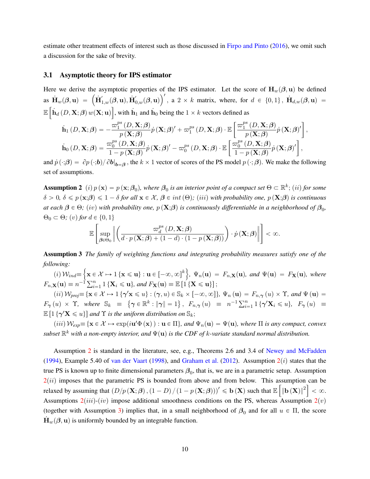estimate other treatment effects of interest such as those discussed in [Firpo and Pinto](#page-32-14) [\(2016\)](#page-32-14), we omit such a discussion for the sake of brevity.

#### **3.1 Asymptotic theory for IPS estimator**

Here we derive the asymptotic properties of the IPS estimator. Let the score of  $\mathbf{H}_{w}(\beta, \mathbf{u})$  be defined Here we derive the asymptotic properties of the IPS estimator. Let the score of  $\mathbf{H}_w(\boldsymbol{\beta}, \mathbf{u})$  be defined<br>as  $\mathbf{H}_w(\boldsymbol{\beta}, \mathbf{u}) = (\mathbf{H}_{1,w}'(\boldsymbol{\beta}, \mathbf{u}), \mathbf{H}_{0,w}'(\boldsymbol{\beta}, \mathbf{u}))'$ , a  $2 \times k$  matrix, where, for  $d \in \{0, 1$  $\mathbb{E} \left[ \hat{\mathbf{h}}_d(D, \mathbf{X}; \boldsymbol{\beta}) w(\mathbf{X}; \mathbf{u}) \right]$ , with  $\mathbf{h}_1$  and  $\mathbf{h}_0$  being the  $1 \times k$  vectors defined as " ȷ

$$
\dot{\mathbf{h}}_{1}(D, \mathbf{X}; \boldsymbol{\beta}) = -\frac{\varpi_{1}^{ps}(D, \mathbf{X}; \boldsymbol{\beta})}{p(\mathbf{X}; \boldsymbol{\beta})} \dot{p}(\mathbf{X}; \boldsymbol{\beta})' + \varpi_{1}^{ps}(D, \mathbf{X}; \boldsymbol{\beta}) \cdot \mathbb{E}\left[\frac{\varpi_{1}^{ps}(D, \mathbf{X}; \boldsymbol{\beta})}{p(\mathbf{X}; \boldsymbol{\beta})} \dot{p}(\mathbf{X}; \boldsymbol{\beta})'\right],
$$
\n
$$
\dot{\mathbf{h}}_{0}(D, \mathbf{X}; \boldsymbol{\beta}) = \frac{\varpi_{0}^{ps}(D, \mathbf{X}; \boldsymbol{\beta})}{1 - p(\mathbf{X}; \boldsymbol{\beta})} \dot{p}(\mathbf{X}; \boldsymbol{\beta})' - \varpi_{0}^{ps}(D, \mathbf{X}; \boldsymbol{\beta}) \cdot \mathbb{E}\left[\frac{\varpi_{0}^{ps}(D, \mathbf{X}; \boldsymbol{\beta})}{1 - p(\mathbf{X}; \boldsymbol{\beta})} \dot{p}(\mathbf{X}; \boldsymbol{\beta})'\right],
$$

and  $\dot{p}(\cdot;\boldsymbol{\beta}) = \partial p(\cdot;\boldsymbol{b}) / \partial \boldsymbol{b}|_{\boldsymbol{b}=\boldsymbol{\beta}}$ , the  $k \times 1$  vector of scores of the PS model  $p(\cdot;\boldsymbol{\beta})$ . We make the following set of assumptions.

<span id="page-9-0"></span>**Assumption 2** (*i*)  $p(\mathbf{x}) = p(\mathbf{x}; \beta_0)$ , where  $\beta_0$  is an interior point of a compact set  $\Theta \subset \mathbb{R}^k$ ; (*ii*) for some  $\delta > 0$ ,  $\delta \leq p(\mathbf{x};\beta) \leq 1 - \delta$  *for all*  $\mathbf{x} \in \mathcal{X}, \beta \in int(\Theta)$ ; *(iii)* with probability one,  $p(\mathbf{X};\beta)$  *is continuous at each*  $\beta \in \Theta$ ; (iv) with probability one,  $p(X;\beta)$  is continuously differentiable in a neighborhood of  $\beta_0$ ,  $\Theta_0 \subset \Theta$ ;  $(v)$  for  $d \in \{0, 1\}$  $\overline{a}$ 

$$
\mathbb{E}\left[\sup_{\boldsymbol{\beta}\in\Theta_{0}}\left\|\left(\frac{\varpi_{d}^{ps}\left(D,\mathbf{X};\boldsymbol{\beta}\right)}{d\cdot p\left(\mathbf{X};\boldsymbol{\beta}\right)+(1-d)\cdot(1-p\left(\mathbf{X};\boldsymbol{\beta}\right)\right)}\right)\cdot\dot{p}\left(\mathbf{X};\boldsymbol{\beta}\right)\right\|<\infty.
$$

<span id="page-9-1"></span>**Assumption 3** *The family of weighting functions and integrating probability measures satisfy one of the following:* !<br>! )

 $(i)$   $\mathcal{W}_{ind}$  $\equiv$  $\mathbf{x} \in \mathcal{X} \mapsto 1$   $\{\mathbf{x} \leqslant \mathbf{u}\} : \mathbf{u} \in [-\infty, \infty]^k$ *,*  $\Psi_n(\mathbf{u}) = F_{n,\mathbf{X}}(\mathbf{u})$ *, and*  $\Psi(\mathbf{u}) = F_\mathbf{X}(\mathbf{u})$ *, where*  $F_{n,X}(\mathbf{u}) \equiv n^{-1} \sum_{i=1}^{n} 1 \{ \mathbf{X}_i \leq \mathbf{u} \},$  and  $F_{\mathbf{X}}(\mathbf{u}) \equiv \mathbb{E} [1 \{ \mathbf{X} \leq \mathbf{u} \}]$ ;

 $p(i)$   $W_{proj} \equiv \{ \mathbf{x} \in \mathcal{X} \mapsto 1 \{ \gamma' \mathbf{x} \leq u \} : (\gamma, u) \in \mathbb{S}_k \times [-\infty, \infty] \}, \Psi_n(\mathbf{u}) = F_{n,\gamma}(u) \times \Upsilon$ , and  $\Psi(\mathbf{u}) =$ (*u*)  $v_{\text{proj}} = \{X \in \mathcal{X} \mapsto 1\}$   $\{Y \in \mathbb{R}^k : ||\gamma|| = 1\}$ ,  $F_{n,\gamma}(u) = n^{-1} \sum_{i=1}^n 1 \{ \gamma' \mathbf{X}_i \leq u \}$ ,  $F_{\gamma}(u) = F_{n,\gamma}(u)$  $\mathbb{E}\left[1 \left\{\gamma' \mathbf{X} \leqslant u\right\}\right]$  and  $\Upsilon$  *is the uniform distribution on*  $\mathbb{S}_k$ ;

 $(iii)$   $W_{exp} \equiv {\mathbf{x} \in \mathcal{X} \mapsto \exp(i\mathbf{u}'\Phi(\mathbf{x})) : \mathbf{u} \in \Pi}$ , and  $\Psi_n(\mathbf{u}) = \Psi(\mathbf{u})$ , where  $\Pi$  *is any compact, convex*  $s$ ubset  $\mathbb{R}^k$  with a non-empty interior, and  $\Psi(\mathbf{u})$  is the CDF of  $k$ -variate standard normal distribution.

Assumption [2](#page-9-0) is standard in the literature, see, e.g., Theorems 2.6 and 3.4 of [Newey and McFadden](#page-33-12) [\(1994\)](#page-33-12), Example 5.40 of [van der Vaart](#page-33-13) [\(1998\)](#page-33-13), and [Graham et al.](#page-32-2) [\(2012\)](#page-32-2). Assumption  $2(i)$  $2(i)$  states that the true PS is known up to finite dimensional parameters  $\beta_0$ , that is, we are in a parametric setup. Assumption  $2(ii)$  $2(ii)$  imposes that the parametric PS is bounded from above and from below. This assumption can be relaxed by assuming that  $(D/p\left( X;\beta\right) ,\left( 1-D\right) /\left( 1-p\left( X;\beta\right) \right) )^{\prime}\leqslant$  b $\left( X\right)$  such that  $\mathbb{E}\left[ \left\Vert \mathbf{b}\left( X\right) \right\Vert ^{2}\right] <\infty$ . Assumptions  $2(iii)-(iv)$  $2(iii)-(iv)$  impose additional smoothness conditions on the PS, whereas Assumption  $2(v)$ (together with Assumption [3\)](#page-9-1) implies that, in a small neighborhood of  $\beta_0$  and for all  $u \in \Pi$ , the score  $\mathbf{H}_{w}(\boldsymbol{\beta}, \mathbf{u})$  is uniformly bounded by an integrable function.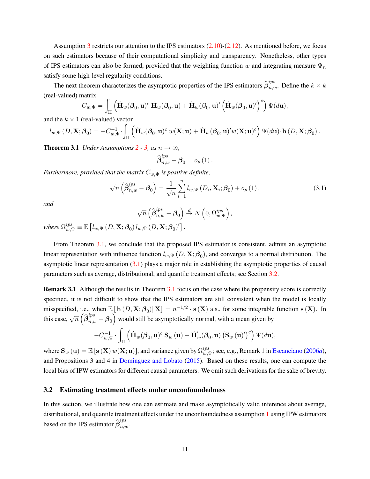Assumption [3](#page-9-1) restricts our attention to the IPS estimators  $(2.10)-(2.12)$  $(2.10)-(2.12)$  $(2.10)-(2.12)$ . As mentioned before, we focus on such estimators because of their computational simplicity and transparency. Nonetheless, other types of IPS estimators can also be formed, provided that the weighting function w and integrating measure  $\Psi_n$ satisfy some high-level regularity conditions.

The next theorem characterizes the asymptotic properties of the IPS estimators  $\hat{\beta}^{ips}_{n,w}$ . Define the  $k \times k$ (real-valued) matrix  $\langle c \rangle$ 

$$
C_{w,\Psi} = \int_{\Pi} \left( \dot{\mathbf{H}}_w(\boldsymbol{\beta}_0, \mathbf{u})^c \dot{\mathbf{H}}_w(\boldsymbol{\beta}_0, \mathbf{u}) + \dot{\mathbf{H}}_w(\boldsymbol{\beta}_0, \mathbf{u})' \left( \dot{\mathbf{H}}_w(\boldsymbol{\beta}_0, \mathbf{u})' \right)^c \right) \Psi(d\mathbf{u}),
$$

and the  $k \times 1$  (real-valued) vector

$$
l_{w,\Psi}(D,\mathbf{X};\boldsymbol{\beta}_0)=-C_{w,\Psi}^{-1}\cdot\int_{\Pi}\left(\dot{\mathbf{H}}_w(\boldsymbol{\beta}_0,\mathbf{u})^c\ w(\mathbf{X};\mathbf{u})+\dot{\mathbf{H}}_w(\boldsymbol{\beta}_0,\mathbf{u})'w(\mathbf{X};\mathbf{u})^c\right)\Psi(d\mathbf{u})\cdot\mathbf{h}(D,\mathbf{X};\boldsymbol{\beta}_0).
$$

<span id="page-10-0"></span>**Theorem 3.1** *Under Assumptions*  $2 - 3$  $2 - 3$ *, as*  $n \rightarrow \infty$ *,* 

$$
\widehat{\pmb{\beta}}_{n,w}^{ips}-\pmb{\beta}_0=o_p\left(1\right).
$$

*Furthermore, provided that the matrix*  $C_{w,\Psi}$  *is positive definite,* 

<span id="page-10-1"></span>
$$
\sqrt{n}\left(\widehat{\boldsymbol{\beta}}_{n,w}^{ips} - \boldsymbol{\beta}_0\right) = \frac{1}{\sqrt{n}} \sum_{i=1}^n l_{w,\Psi}\left(D_i, \mathbf{X}_i; \boldsymbol{\beta}_0\right) + o_p\left(1\right),\tag{3.1}
$$

*and*

$$
\sqrt{n}\left(\widehat{\boldsymbol{\beta}}_{n,w}^{ips}-\boldsymbol{\beta}_0\right)\overset{d}{\to} N\left(0,\Omega_{w,\Psi}^{ips}\right),
$$

where  $\Omega_{w,\Psi}^{ips}\equiv\mathbb{E}$ "  $l_{w,\Psi}\left(D,\mathbf{X};\boldsymbol{\beta}_{0}\right)l_{w,\Psi}\left(D,\mathbf{X};\boldsymbol{\beta}_{0}\right)' \big]$ .

From Theorem [3.1,](#page-10-0) we conclude that the proposed IPS estimator is consistent, admits an asymptotic linear representation with influence function  $l_{w,\Psi}(D,\mathbf{X};\boldsymbol{\beta}_0)$ , and converges to a normal distribution. The asymptotic linear representation [\(3.1\)](#page-10-1) plays a major role in establishing the asymptotic properties of causal parameters such as average, distributional, and quantile treatment effects; see Section [3.2.](#page-10-2)

**Remark [3.1](#page-10-0)** Although the results in Theorem 3.1 focus on the case where the propensity score is correctly specified, it is not difficult to show that the IPS estimators are still consistent when the model is locally misspecified, i.e., when  $\mathbb{E} [\mathbf{h}(D, \mathbf{X}; \beta_0) | \mathbf{X}] = n^{-1/2} \cdot \mathbf{s}(X)$  a.s., for some integrable function  $\mathbf{s}(X)$ . In this case,  $\sqrt{n} \left( \widehat{\beta}_{n,w}^{ips} - \beta_0 \right)$  would still be asymptotically normal, with a mean given by  $\overline{a}$ 

$$
-C_{w,\Psi}^{-1}\cdot\int_{\Pi}\left(\dot{\mathbf{H}}_w(\boldsymbol{\beta}_0,\mathbf{u})^c\,\mathbf{S}_w\left(\mathbf{u}\right)+\dot{\mathbf{H}}_w^{'}(\boldsymbol{\beta}_0,\mathbf{u})\left(\mathbf{S}_w\left(\mathbf{u}\right)'\right)^c\right)\Psi(d\mathbf{u}),
$$

where  $\mathbf{S}_w(\mathbf{u}) = \mathbb{E} [\mathbf{s} (\mathbf{X}) w(\mathbf{X}; \mathbf{u})]$ , and variance given by  $\Omega_{w,y}^{ips}$  $_{w,\Psi}^{ups}$ ; see, e.g., Remark 1 in [Escanciano](#page-32-5) [\(2006](#page-32-5)*a*), and Propositions 3 and 4 in [Dominguez and Lobato](#page-32-17) [\(2015\)](#page-32-17). Based on these results, one can compute the local bias of IPW estimators for different causal parameters. We omit such derivations for the sake of brevity.

#### <span id="page-10-2"></span>**3.2 Estimating treatment effects under unconfoundedness**

In this section, we illustrate how one can estimate and make asymptotically valid inference about average, distributional, and quantile treatment effects under the unconfoundedness assumption [1](#page-4-0) using IPW estimators based on the IPS estimator  $\hat{\beta}^{ips}_{n,w}$ .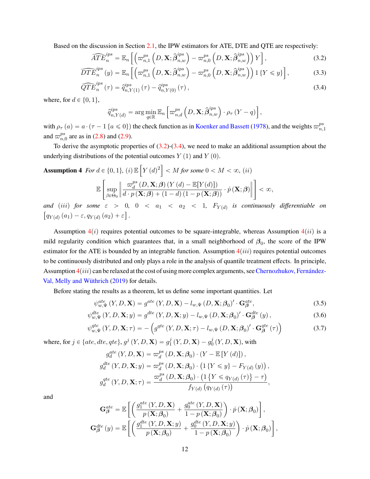Based on the discussion in Section 2.1, the IPW estimators for ATE, DTE and QTE are respectively:  
\n
$$
\widehat{ATE}_n^{ips} = \mathbb{E}_n \left[ \left( \varpi_{n,1}^{ps} \left( D, \mathbf{X}; \widehat{\beta}_{n,w}^{ips} \right) - \varpi_{n,0}^{ps} \left( D, \mathbf{X}; \widehat{\beta}_{n,w}^{ips} \right) \right) Y \right],
$$
\n(3.2)

$$
\widehat{DTE}_n^{ips}(y) = \mathbb{E}_n\left[\left(\varpi_{n,1}^{ps}\left(D,\mathbf{X};\widehat{\boldsymbol{\beta}}_{n,w}^{ips}\right) - \varpi_{n,0}^{ps}\left(D,\mathbf{X};\widehat{\boldsymbol{\beta}}_{n,w}^{ips}\right)\right)1\left\{Y \leqslant y\right\}\right],\tag{3.3}
$$

$$
\widehat{QTE}_n^{ips}(\tau) = \hat{q}_{n,Y(1)}^{ips}(\tau) - \hat{q}_{n,Y(0)}^{ips}(\tau), \qquad (3.4)
$$

where, for  $d \in \{0, 1\}$ ,

<span id="page-11-1"></span><span id="page-11-0"></span>
$$
\widehat{q}^{ips}_{n,Y(d)} = \arg\min_{q\in\mathbb{R}} \mathbb{E}_n\left[\varpi^{ps}_{n,d}\left(D,\mathbf{X};\widehat{\boldsymbol{\beta}}^{ips}_{n,w}\right)\cdot\rho_{\tau}\left(Y-q\right)\right],
$$

with  $\rho_{\tau}(a) = a \cdot (\tau - 1 \{a \le 0\})$  the check function as in [Koenker and Bassett](#page-32-19) [\(1978\)](#page-32-19), and the weights  $\omega_n^{ps}$  $n,1$ and  $\varpi_n^{ps}$  $_{n,0}^{ps}$  are as in [\(2.8\)](#page-7-5) and [\(2.9\)](#page-7-6).

To derive the asymptotic properties of  $(3.2)-(3.4)$  $(3.2)-(3.4)$  $(3.2)-(3.4)$ , we need to make an additional assumption about the underlying distributions of the potential outcomes  $Y(1)$  and  $Y(0)$ . " ı

<span id="page-11-2"></span>Assumption 4 For 
$$
d \in \{0, 1\}
$$
, (i)  $\mathbb{E}\left[Y(d)^2\right] < M$  for some  $0 < M < \infty$ , (ii)  

$$
\mathbb{E}\left[\sup_{\beta \in \Theta_0} \left\| \frac{\varpi_d^{ps}(D, \mathbf{X}; \beta) \left(Y(d) - \mathbb{E}[Y(d)]\right)}{d \cdot p(\mathbf{X}; \beta) + (1 - d)(1 - p(\mathbf{X}; \beta))} \cdot \dot{p}(\mathbf{X}; \beta) \right\| \right] < \infty,
$$

and (iii) for some  $\varepsilon > 0$ ,  $0 < a_1 < a_2 < 1$ ,  $F_{Y(d)}$  is continuously differentiable on  $q_{Y(d)}(a_1) - \varepsilon, q_{Y(d)}(a_2) + \varepsilon \right].$ 

Assumption  $4(i)$  $4(i)$  requires potential outcomes to be square-integrable, whereas Assumption  $4(ii)$  is a mild regularity condition which guarantees that, in a small neighborhood of  $\beta_0$ , the score of the IPW estimator for the ATE is bounded by an integrable function. Assumption  $4(iii)$  $4(iii)$  requires potential outcomes to be continuously distributed and only plays a role in the analysis of quantile treatment effects. In principle, Assumption  $4(iii)$  $4(iii)$  can be relaxed at the cost of using more complex arguments, see [Chernozhukov, Fernández-](#page-31-11)[Val, Melly and Wüthrich](#page-31-11) [\(2019\)](#page-31-11) for details.

Before stating the results as a theorem, let us define some important quantities. Let

$$
\psi_{w,\Psi}^{ate}(Y,D,\mathbf{X}) = g^{ate}(Y,D,\mathbf{X}) - l_{w,\Psi}(D,\mathbf{X};\boldsymbol{\beta}_0)' \cdot \mathbf{G}_{\boldsymbol{\beta}}^{ate},\tag{3.5}
$$

$$
\psi_{w,\Psi}^{dte}(Y,D,\mathbf{X};y) = g^{dte}(Y,D,\mathbf{X};y) - l_{w,\Psi}(D,\mathbf{X};\boldsymbol{\beta}_0)' \cdot \mathbf{G}_{\boldsymbol{\beta}}^{dte}(y), \qquad (3.6)
$$

$$
\psi_{w,\Psi}^{ate}(Y,D,\mathbf{X};\tau) = -\left(g^{qte}(Y,D,\mathbf{X};\tau) - l_{w,\Psi}(D,\mathbf{X};\beta_0)'\cdot\mathbf{G}^{qte}_{\beta}(\tau)\right)
$$
(3.7)

,

where, for  $j \in \{ate, dte, qte\}$ ,  $g^j$   $(Y, D, \mathbf{X}) = g_1^j$  $\frac{j}{1}\left(Y,D,\mathbf{X}\right)-g_{0}^{j}$  $\frac{1}{0}$   $(Y,D,\mathbf{X}),$  with

$$
g_d^{ate}(Y, D, \mathbf{X}) = \varpi_d^{ps}(D, \mathbf{X}; \beta_0) \cdot (Y - \mathbb{E}[Y(d)]),
$$
  
\n
$$
g_d^{det}(Y, D, \mathbf{X}; y) = \varpi_d^{ps}(D, \mathbf{X}; \beta_0) \cdot (1 \{Y \leq y\} - F_{Y(d)}(y)),
$$
  
\n
$$
g_d^{qte}(Y, D, \mathbf{X}; \tau) = \frac{\varpi_d^{ps}(D, \mathbf{X}; \beta_0) \cdot (1 \{Y \leq q_{Y(d)}(\tau)\} - \tau)}{f_{Y(d)}(q_{Y(d)}(\tau))},
$$

and

$$
\mathbf{G}_{\beta}^{ate} = \mathbb{E}\left[\left(\frac{g_{1}^{ate}\left(Y,D,\mathbf{X}\right)}{p\left(\mathbf{X};\beta_{0}\right)} + \frac{g_{0}^{ate}\left(Y,D,\mathbf{X}\right)}{1-p\left(\mathbf{X};\beta_{0}\right)}\right) \cdot \dot{p}\left(\mathbf{X};\beta_{0}\right)\right],
$$

$$
\mathbf{G}_{\beta}^{dte}\left(y\right) = \mathbb{E}\left[\left(\frac{g_{1}^{dte}\left(Y,D,\mathbf{X};y\right)}{p\left(\mathbf{X};\beta_{0}\right)} + \frac{g_{0}^{dte}\left(Y,D,\mathbf{X};y\right)}{1-p\left(\mathbf{X};\beta_{0}\right)}\right) \cdot \dot{p}\left(\mathbf{X};\beta_{0}\right)\right]
$$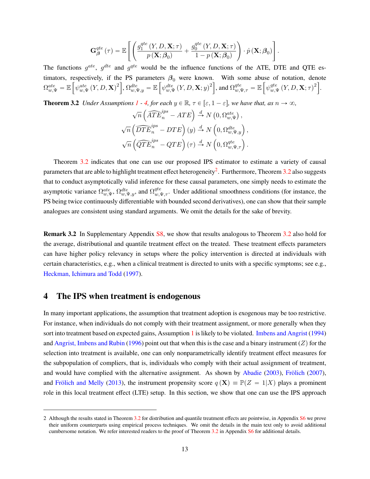$$
\mathbf{G}_{\beta}^{qte}\left(\tau\right)=\mathbb{E}\left[\left(\frac{g_{1}^{qte}\left(Y,D,\mathbf{X};\tau\right)}{p\left(\mathbf{X};\beta_{0}\right)}+\frac{g_{0}^{qte}\left(Y,D,\mathbf{X};\tau\right)}{1-p\left(\mathbf{X};\beta_{0}\right)}\right)\cdot\dot{p}\left(\mathbf{X};\beta_{0}\right)\right].
$$

The functions  $g^{ate}$ ,  $g^{dte}$  and  $g^{qte}$  would be the influence functions of the ATE, DTE and QTE estimators, respectively, if the PS parameters  $\beta_0$  were known. With some abuse of notation, denote  $\Omega_{w,\Psi}^{ate} = \mathbb{E}$ "  $\psi_{w,\Psi}^{ate}\left( Y,D,\mathbf{X}\right) ^{2}$  $\frac{e}{1}$ ,  $\Omega_{w,\Psi,y}^{dte} = \mathbb{E}$  $\frac{21}{1}$  $\psi_{w,\Psi}^{dte}\left(Y,D,\mathbf{X};y\right)^2$  $\mathbf{r}$ , and  $\Omega_{w,\Psi,\tau}^{qte} = \mathbb{E}$  $\frac{15}{15}$  $\psi_m^{qte}$  $\delta_{w,\Psi}^{qte}\left(Y,D,\mathbf{X};\tau\right)^2$  $\frac{1}{2}$ .

<span id="page-12-1"></span>**Theorem 3.2** *Under Assumptions*  $1 - 4$  $1 - 4$ , *for each*  $y \in \mathbb{R}$ ,  $\tau \in [\varepsilon, 1 - \varepsilon]$ , we have that, as  $n \to \infty$ ,<br> $\sqrt{n} \left( \widehat{ATE}_n^{ips} - ATE \right) \stackrel{d}{\to} N\left(0, \Omega_{w,\Psi}^{ate}\right)$ ,

$$
\sqrt{n} \left( \widehat{ATE}_n^{ips} - ATE \right) \stackrel{d}{\rightarrow} N \left( 0, \Omega_{w,\Psi}^{ate} \right),
$$
  

$$
\sqrt{n} \left( \widehat{DTE}_n^{ips} - DTE \right) (y) \stackrel{d}{\rightarrow} N \left( 0, \Omega_{w,\Psi,y}^{dte} \right),
$$
  

$$
\sqrt{n} \left( \widehat{QTE}_n^{ips} - QTE \right) (\tau) \stackrel{d}{\rightarrow} N \left( 0, \Omega_{w,\Psi,\tau}^{qte} \right).
$$

Theorem [3.2](#page-12-1) indicates that one can use our proposed IPS estimator to estimate a variety of causal parameters that are able to highlight treatment effect heterogeneity<sup>[2](#page-0-0)</sup>. Furthermore, Theorem [3.2](#page-12-1) also suggests that to conduct asymptotically valid inference for these causal parameters, one simply needs to estimate the asymptotic variance  $\Omega_{w,\Psi}^{ate}$ ,  $\Omega_{w,\Psi,y}^{dte}$ , and  $\Omega_{w,\Psi,\tau}^{qte}$ . Under additional smoothness conditions (for instance, the PS being twice continuously differentiable with bounded second derivatives), one can show that their sample analogues are consistent using standard arguments. We omit the details for the sake of brevity.

**Remark 3.2** In Supplementary Appendix [S8,](#page-0-0) we show that results analogous to Theorem [3.2](#page-12-1) also hold for the average, distributional and quantile treatment effect on the treated. These treatment effects parameters can have higher policy relevancy in setups where the policy intervention is directed at individuals with certain characteristics, e.g., when a clinical treatment is directed to units with a specific symptoms; see e.g., [Heckman, Ichimura and Todd](#page-32-20) [\(1997\)](#page-32-20).

## <span id="page-12-0"></span>**4 The IPS when treatment is endogenous**

In many important applications, the assumption that treatment adoption is exogenous may be too restrictive. For instance, when individuals do not comply with their treatment assignment, or more generally when they sort into treatment based on expected gains, Assumption [1](#page-4-0) is likely to be violated. [Imbens and Angrist](#page-32-21) [\(1994\)](#page-32-21) and [Angrist, Imbens and Rubin](#page-31-12) [\(1996\)](#page-31-12) point out that when this is the case and a binary instrument (Z) for the selection into treatment is available, one can only nonparametrically identify treatment effect measures for the subpopulation of compliers, that is, individuals who comply with their actual assignment of treatment, and would have complied with the alternative assignment. As shown by [Abadie](#page-31-3) [\(2003\)](#page-31-3), [Frölich](#page-32-22) [\(2007\)](#page-32-22), and [Frölich and Melly](#page-32-9) [\(2013\)](#page-32-9), the instrument propensity score  $q(\mathbf{X}) \equiv \mathbb{P}(Z = 1|X)$  plays a prominent role in this local treatment effect (LTE) setup. In this section, we show that one can use the IPS approach

<sup>2</sup> Although the results stated in Theorem [3.2](#page-12-1) for distribution and quantile treatment effects are pointwise, in Appendix [S6](#page-26-0) we prove their uniform counterparts using empirical process techniques. We omit the details in the main text only to avoid additional cumbersome notation. We refer interested readers to the proof of Theorem [3.2](#page-12-1) in Appendix [S6](#page-26-0) for additional details.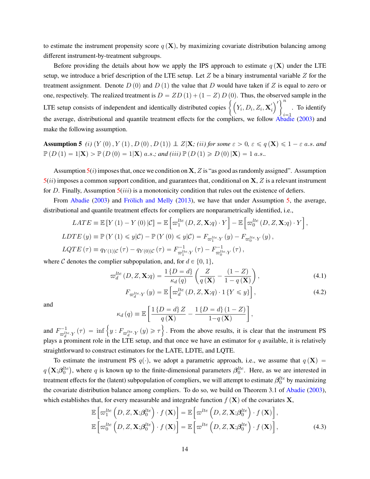to estimate the instrument propensity score  $q(X)$ , by maximizing covariate distribution balancing among different instrument-by-treatment subgroups.

Before providing the details about how we apply the IPS approach to estimate  $q(\mathbf{X})$  under the LTE setup, we introduce a brief description of the LTE setup. Let  $Z$  be a binary instrumental variable  $Z$  for the treatment assignment. Denote  $D(0)$  and  $D(1)$  the value that D would have taken if Z is equal to zero or one, respectively. The realized treatment is  $D = ZD(1) + (1 - Z)D(0)$ . Thus, the observed sample in the one, respectively. The realized treatment is  $D = ZD(1) + (1 - Z)D(0)$ . Thus, the ob<br>LTE setup consists of independent and identically distributed copies  $\left\{ (Y_i, D_i, Z_i, \mathbf{X}_i) \right\}$  $\frac{1}{2}$  $i = 1$ . To identify the average, distributional and quantile treatment effects for the compliers, we follow  $\overrightarrow{\text{Abadic}}$  [\(2003\)](#page-31-3) and make the following assumption.

<span id="page-13-0"></span>**Assumption 5** *(i)*  $(Y(0), Y(1), D(0), D(1)) \perp Z|\mathbf{X}$ ; *(ii) for some*  $\varepsilon > 0$ ,  $\varepsilon \leq q(\mathbf{X}) \leq 1 - \varepsilon$  a.s. and  $\mathbb{P}(D(1) = 1|\mathbf{X}) > \mathbb{P}(D(0) = 1|\mathbf{X})$  a.s.; and (iii)  $\mathbb{P}(D(1) \geq D(0)|\mathbf{X}) = 1$  a.s..

Assumption  $5(i)$  $5(i)$  imposes that, once we condition on **X**, Z is "as good as randomly assigned". Assumption  $5(ii)$  $5(ii)$  imposes a common support condition, and guarantees that, conditional on  $X, Z$  is a relevant instrument for D. Finally, Assumption  $5(iii)$  $5(iii)$  is a monotonicity condition that rules out the existence of defiers.

From [Abadie](#page-31-3) [\(2003\)](#page-31-3) and [Frölich and Melly](#page-32-9) [\(2013\)](#page-32-9), we have that under Assumption [5,](#page-13-0) the average, distributional and quantile treatment effects for compliers are nonparametrically identified, i.e., ı

$$
LATE \equiv \mathbb{E}\left[Y\left(1\right) - Y\left(0\right)|\mathcal{C}\right] = \mathbb{E}\left[\varpi_1^{lte}\left(D, Z, \mathbf{X}; q\right) \cdot Y\right] - \mathbb{E}\left[\varpi_0^{lte}\left(D, Z, \mathbf{X}; q\right) \cdot Y\right],
$$
  
\n
$$
LDTE\left(y\right) \equiv \mathbb{P}\left(Y\left(1\right) \leq y|\mathcal{C}\right) - \mathbb{P}\left(Y\left(0\right) \leq y|\mathcal{C}\right) = F_{\varpi_1^{lte} \cdot Y}\left(y\right) - F_{\varpi_0^{lte} \cdot Y}\left(y\right),
$$
  
\n
$$
LQTE\left(\tau\right) \equiv q_{Y(1)|\mathcal{C}}\left(\tau\right) - q_{Y(0)|\mathcal{C}}\left(\tau\right) = F_{\varpi_1^{lte} \cdot Y}^{-1}\left(\tau\right) - F_{\varpi_0^{lte} \cdot Y}^{-1}\left(\tau\right),
$$

where C denotes the complier subpopulation, and, for  $d \in \{0, 1\}$ ,

$$
\varpi_d^{lte}(D, Z, \mathbf{X}; q) = \frac{1\{D = d\}}{\kappa_d(q)} \left(\frac{Z}{q(\mathbf{X})} - \frac{(1 - Z)}{1 - q(\mathbf{X})}\right),\tag{4.1}
$$

<span id="page-13-1"></span>
$$
F_{\varpi_d^{lte} \cdot Y}(y) = \mathbb{E}\left[\varpi_d^{lte}\left(D, Z, \mathbf{X}; q\right) \cdot 1\left\{Y \leqslant y\right\}\right],\tag{4.2}
$$

and

<span id="page-13-2"></span>
$$
\kappa_d(q) \equiv \mathbb{E}\left[\frac{1\left\{D=d\right\}Z}{q\left(\mathbf{X}\right)} - \frac{1\left\{D=d\right\}\left(1-Z\right)}{1-q\left(\mathbf{X}\right)}\right],
$$

and  $F^{-1}_{\text{alt}}$  $\int_{\varpi_d^{det}(Y)}^{1-1} f(x) \, dx = \inf \left\{ y : F_{\varpi_d^{det}(Y)}(y) \geq \tau \right\}.$  From the above results, it is clear that the instrument PS plays a prominent role in the LTE setup, and that once we have an estimator for  $q$  available, it is relatively straightforward to construct estimators for the LATE, LDTE, and LQTE.

To estimate the instrument PS  $q(\cdot)$ , we adopt a parametric approach, i.e., we assume that  $q(\mathbf{X}) =$ q  $\mathbf{X}; \beta_0^{lte})$ , where q is known up to the finite-dimensional parameters  $\beta_0^{lte}$ . Here, as we are interested in treatment effects for the (latent) subpopulation of compliers, we will attempt to estimate  $\beta_0^{lte}$  by maximizing the covariate distribution balance among compliers. To do so, we build on Theorem 3.1 of [Abadie](#page-31-3) [\(2003\)](#page-31-3),

which establishes that, for every measurable and integrable function 
$$
f(\mathbf{X})
$$
 of the covariates  $\mathbf{X}$ ,  
\n
$$
\mathbb{E}\left[\varpi_1^{lte}\left(D,Z,\mathbf{X};\beta_0^{lte}\right)\cdot f(\mathbf{X})\right] = \mathbb{E}\left[\varpi^{lte}\left(D,Z,\mathbf{X};\beta_0^{lte}\right)\cdot f(\mathbf{X})\right],
$$
\n
$$
\mathbb{E}\left[\varpi_0^{lte}\left(D,Z,\mathbf{X};\beta_0^{lte}\right)\cdot f(\mathbf{X})\right] = \mathbb{E}\left[\varpi^{lte}\left(D,Z,\mathbf{X};\beta_0^{lte}\right)\cdot f(\mathbf{X})\right],
$$
\n(4.3)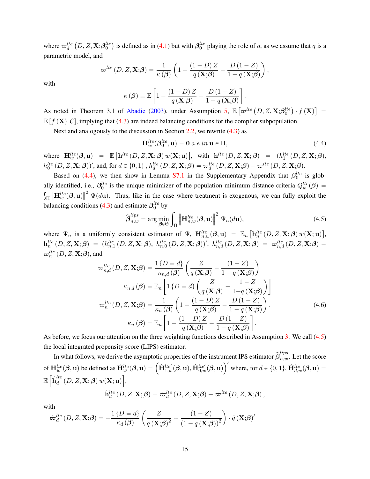where  $\varpi_d^{lte}$  $D, Z, \mathbf{X}; \! \boldsymbol{\beta}_0^{lte}$ is defined as in [\(4.1\)](#page-13-1) but with  $\beta_0^{lte}$  playing the role of q, as we assume that q is a parametric model, and

$$
\varpi^{lte}\left(D,Z,\mathbf{X};\!\boldsymbol{\beta}\right)=\frac{1}{\kappa\left(\boldsymbol{\beta}\right)}\left(1-\frac{\left(1-D\right)Z}{q\left(\mathbf{X};\!\boldsymbol{\beta}\right)}-\frac{D\left(1-Z\right)}{1-q\left(\mathbf{X};\!\boldsymbol{\beta}\right)}\right),
$$

with

$$
\kappa(\boldsymbol{\beta}) \equiv \mathbb{E}\left[1 - \frac{(1-D)Z}{q\left(\mathbf{X};\boldsymbol{\beta}\right)} - \frac{D(1-Z)}{1-q\left(\mathbf{X};\boldsymbol{\beta}\right)}\right].
$$

As noted in Theorem 3.1 of [Abadie](#page-31-3) [\(2003\)](#page-31-3), under Assumption [5,](#page-13-0) E  $\int_{0}^{\infty} \! w^{lte} \left( D, Z, \mathbf{X}; \!\boldsymbol{\beta}^{lte}_{0} \right)$  $\cdot f(\mathbf{X})$ ‰  $=$  $\mathbb{E}[f(\mathbf{X}) | \mathcal{C}]$ , implying that [\(4.3\)](#page-13-2) are indeed balancing conditions for the complier subpopulation.

Next and analogously to the discussion in Section [2.2,](#page-6-2) we rewrite [\(4.3\)](#page-13-2) as

<span id="page-14-0"></span>
$$
\mathbf{H}_{w}^{lte}(\beta_0^{lte}, \mathbf{u}) = \mathbf{0} \ a.e \ in \ \mathbf{u} \in \Pi,
$$
\n(4.4)

where  $\mathbf{H}_{w}^{lte}(\boldsymbol{\beta}, \mathbf{u}) = \mathbb{E}$ "  $\mathbf{h}^{lte}\left(D,Z,\mathbf{X};\boldsymbol{\beta}\right)w(\mathbf{X};\mathbf{u})$ , with  $\mathbf{h}^{lte}\left(D, Z, \mathbf{X}; \boldsymbol{\beta}\right) = (h_1^{lte}\left(D, Z, \mathbf{X}; \boldsymbol{\beta}\right),$  $h_0^{lte}\left(D,Z,\mathbf{X};\boldsymbol{\beta}\right))'$ , and, for  $d \in \{0,1\}$ ,  $h_d^{lte}\left(D,Z,\mathbf{X};\boldsymbol{\beta}\right) = \varpi_d^{lte}\left(D,Z,\mathbf{X};\boldsymbol{\beta}\right) - \varpi^{lte}\left(D,Z,\mathbf{X};\boldsymbol{\beta}\right)$ .

Based on [\(4.4\)](#page-14-0), we then show in Lemma [S7.1](#page-0-0) in the Supplementary Appendix that  $\beta_0^{lte}$  is globally identified, i.e.,  $\beta_0^{lte}$  is the unique minimizer of the population minimum distance criteria  $Q_w^{lte}(\beta) =$  $\Vert \mathbf{H}_{w}^{lte}(\boldsymbol{\beta}, \mathbf{u}) \Vert^2 \Psi(d\mathbf{u})$ . Thus, like in the case where treatment is exogenous, we can fully exploit the balancing conditions [\(4.3\)](#page-13-2) and estimate  $\beta_0^{lte}$  by

<span id="page-14-2"></span><span id="page-14-1"></span>
$$
\hat{\boldsymbol{\beta}}_{n,w}^{lips} = \arg\min_{\boldsymbol{\beta}\in\Theta} \int_{\Pi} \left\| \mathbf{H}_{n,w}^{lte}(\boldsymbol{\beta}, \mathbf{u}) \right\|^2 \Psi_n(d\mathbf{u}), \tag{4.5}
$$

where  $\Psi_n$  is a uniformly consistent estimator of  $\Psi$ ,  $\mathbf{H}_{n,w}^{lte}(\beta, \mathbf{u}) = \mathbb{E}_n$  $\mathbf{h}^{lte}_n\left(D,Z,\mathbf{X};\boldsymbol{\beta}\right)w(\mathbf{X};\mathbf{u})$ ,  ${\bf h}^{lte}_n\left(D,Z,{\bf X};{\boldsymbol \beta}\right) \;=\; (h^{lte}_{n,1}\left(D,Z,{\bf X};{\boldsymbol \beta}\right),\; h^{lte}_{n,0}\left(D,Z,{\bf X};{\boldsymbol \beta}\right))',\; h^{lte}_{n,d}\left(D,Z,{\bf X};{\boldsymbol \beta}\right) \;=\; \varpi^{lte}_{n,d}\left(D,Z,{\bf X};{\boldsymbol \beta}\right) \;-\; \varpi^{cde}_{n,d}\left(D,Z,{\bf X};{\boldsymbol \beta}\right) \;,$  $\varpi _{n}^{lte}\left( D,Z,\mathbf{X};\!\beta \right)$  , and

$$
\varpi_{n,d}^{lte}(D, Z, \mathbf{X}; \boldsymbol{\beta}) = \frac{1}{\kappa_{n,d}(\boldsymbol{\beta})} \left( \frac{Z}{q(\mathbf{X}; \boldsymbol{\beta})} - \frac{(1 - Z)}{1 - q(\mathbf{X}; \boldsymbol{\beta})} \right)
$$

$$
\kappa_{n,d}(\boldsymbol{\beta}) = \mathbb{E}_n \left[ 1 \{ D = d \} \left( \frac{Z}{q(\mathbf{X}; \boldsymbol{\beta})} - \frac{1 - Z}{1 - q(\mathbf{X}; \boldsymbol{\beta})} \right) \right]
$$

$$
\varpi_n^{lte}(D, Z, \mathbf{X}; \boldsymbol{\beta}) = \frac{1}{\kappa_n(\boldsymbol{\beta})} \left( 1 - \frac{(1 - D)Z}{q(\mathbf{X}; \boldsymbol{\beta})} - \frac{D(1 - Z)}{1 - q(\mathbf{X}; \boldsymbol{\beta})} \right),
$$

$$
\kappa_n(\boldsymbol{\beta}) = \mathbb{E}_n \left[ 1 - \frac{(1 - D)Z}{q(\mathbf{X}; \boldsymbol{\beta})} - \frac{D(1 - Z)}{1 - q(\mathbf{X}; \boldsymbol{\beta})} \right].
$$
(4.6)

As before, we focus our attention on the three weighting functions described in Assumption [3.](#page-9-1) We call [\(4.5\)](#page-14-1) the local integrated propensity score (LIPS) estimator.

In what follows, we derive the asymptotic properties of the instrument IPS estimator  $\hat{\beta}_{n,w}^{lips}$ . Let the score In what follows, we define the asymptotic properties of the instrument PS estimator  $p_{n,w}$ . Let the score<br>of  $\mathbf{H}_{w}^{lte}(\beta, \mathbf{u})$  be defined as  $\dot{\mathbf{H}}_{w}^{lte}(\beta, \mathbf{u}) = (\dot{\mathbf{H}}_{1,w}^{lte'}(\beta, \mathbf{u}), \dot{\mathbf{H}}_{0,w}^{lte'}(\beta, \mathbf$  $\mathbb{E}\left[\dot{\textbf{h}}_{d}^{lte}\right]$  $\frac{d}{d}\left( D,Z,\mathbf{X};\boldsymbol{\beta}\right) w(\mathbf{X};\mathbf{u})\big\vert ,$  $\dot{\textbf{h}}_{d}^{lte}\left(D,Z,\textbf{X};\bm{\beta}\right)=\dot{\boldsymbol{\varpi}}_{d}^{lte}\left(D,Z,\textbf{X};\bm{\beta}\right)-\dot{\boldsymbol{\varpi}}^{lte}\left(D,Z,\textbf{X};\bm{\beta}\right),$ 

with

$$
\dot{\boldsymbol{\varpi}}_d^{lte} (D, Z, \mathbf{X}; \boldsymbol{\beta}) = -\frac{1 \{D = d\}}{\kappa_d (\boldsymbol{\beta})} \left( \frac{Z}{q \left( \mathbf{X}; \boldsymbol{\beta} \right)^2} + \frac{(1 - Z)}{(1 - q \left( \mathbf{X}; \boldsymbol{\beta} \right))^2} \right) \cdot \dot{q} \left( \mathbf{X}; \boldsymbol{\beta} \right)^{\prime}
$$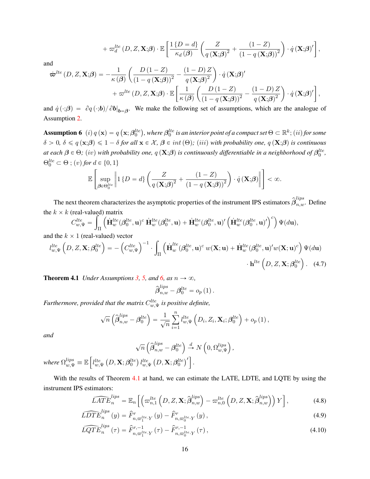$$
+ \varpi_d^{lte} (D,Z,\mathbf{X};\beta) \cdot \mathbb{E}\left[\frac{1\{D=d\}}{\kappa_d(\beta)} \left(\frac{Z}{q\left(\mathbf{X};\beta\right)^2} + \frac{(1-Z)}{(1-q\left(\mathbf{X};\beta\right))^2}\right) \cdot \dot{q}\left(\mathbf{X};\beta\right)'\right],
$$

and

$$
\dot{\boldsymbol{\varpi}}^{lte} (D, Z, \mathbf{X}; \boldsymbol{\beta}) = -\frac{1}{\kappa(\boldsymbol{\beta})} \left( \frac{D(1 - Z)}{(1 - q(\mathbf{X}; \boldsymbol{\beta}))^2} - \frac{(1 - D) Z}{q(\mathbf{X}; \boldsymbol{\beta})^2} \right) \cdot \dot{q}(\mathbf{X}; \boldsymbol{\beta})' + \boldsymbol{\varpi}^{lte} (D, Z, \mathbf{X}; \boldsymbol{\beta}) \cdot \mathbb{E} \left[ \frac{1}{\kappa(\boldsymbol{\beta})} \left( \frac{D(1 - Z)}{(1 - q(\mathbf{X}; \boldsymbol{\beta}))^2} - \frac{(1 - D) Z}{q(\mathbf{X}; \boldsymbol{\beta})^2} \right) \cdot \dot{q}(\mathbf{X}; \boldsymbol{\beta})' \right],
$$

and  $\dot{q}(\cdot;\boldsymbol{\beta}) = \partial q(\cdot;\boldsymbol{b}) / \partial b|_{\boldsymbol{b}=\boldsymbol{\beta}}$ . We make the following set of assumptions, which are the analogue of Assumption [2.](#page-9-0)

<span id="page-15-0"></span>**Assumption 6**  $(i)q(\mathbf{x}) = q$  $\mathbf{x}; \boldsymbol{\beta}_0^{lte}$ , where  $\bm{\beta}_0^{lte}$  is an interior point of a compact set  $\Theta \subset \mathbb{R}^k; (ii)$  for some  $\delta > 0$ ,  $\delta \leq q(\mathbf{x};\beta) \leq 1 - \delta$  *for all*  $\mathbf{x} \in \mathcal{X}, \beta \in int(\Theta)$ ; *(iii)* with probability one,  $q(\mathbf{X};\beta)$  *is continuous at each*  $\beta \in \Theta$ ; (iv) with probability one,  $q(X;\beta)$  is continuously differentiable in a neighborhood of  $\beta_0^{lte}$ ,  $\Theta_0^{lte} \subset \Theta$ ;  $(v)$  for  $d \in \{0, 1\}$ for the control of the control of the control of the control of the control of the control of the control of the control of the control of the control of the control of the control of the control of the control of the cont

$$
\mathbb{E}\left[\sup_{\boldsymbol{\beta}\in\Theta_0^{lte}}\left\|1\left\{D=d\right\}\left(\frac{Z}{q\left(\mathbf{X};\boldsymbol{\beta}\right)^2}+\frac{\left(1-Z\right)}{\left(1-q\left(\mathbf{X};\boldsymbol{\beta}\right)\right)^2}\right)\cdot\dot{q}\left(\mathbf{X};\boldsymbol{\beta}\right)\right\|\right]<\infty.
$$

The next theorem characterizes the asymptotic properties of the instrument IPS estimators  $\hat{\bm{\beta}}_{n,w}^{lips}$ . Define the  $k \times k$  (real-valued) matrix  $\sqrt{c_1}$ 

$$
C_{w,\Psi}^{lte} = \int_{\Pi} \left( \dot{\mathbf{H}}_w^{lte} (\beta_0^{lte}, \mathbf{u})^c \dot{\mathbf{H}}_w^{lte} (\beta_0^{lte}, \mathbf{u}) + \dot{\mathbf{H}}_w^{lte} (\beta_0^{lte}, \mathbf{u})' \left( \dot{\mathbf{H}}_w^{lte} (\beta_0^{lte}, \mathbf{u})' \right)^c \right) \Psi(d\mathbf{u}),
$$

and the 
$$
k \times 1
$$
 (real-valued) vector  
\n
$$
l_{w,\Psi}^{lte} \left( D, Z, \mathbf{X}; \beta_0^{lte} \right) = -\left( C_{w,\Psi}^{lte} \right)^{-1} \cdot \int_{\Pi} \left( \dot{\mathbf{H}}_w^{lte} (\beta_0^{lte}, \mathbf{u})^c w(\mathbf{X}; \mathbf{u}) + \dot{\mathbf{H}}_w^{lte} (\beta_0^{lte}, \mathbf{u})^{\prime} w(\mathbf{X}; \mathbf{u})^c \right) \Psi(d\mathbf{u})
$$
\n
$$
\cdot \mathbf{h}^{lte} \left( D, Z, \mathbf{X}; \beta_0^{lte} \right). \quad (4.7)
$$

<span id="page-15-1"></span>**Theorem 4.1** *Under Assumptions* [3,](#page-9-1) [5,](#page-13-0) and [6,](#page-15-0) as  $n \to \infty$ ,

<span id="page-15-3"></span><span id="page-15-2"></span>
$$
\widehat{\boldsymbol{\beta}}_{n,w}^{lips}-\boldsymbol{\beta}_0^{lte}=o_p\left(1\right).
$$

Furthermore, provided that the matrix  $C_{w,\Psi}^{lte}$  is positive definite,

$$
\sqrt{n}\left(\widehat{\boldsymbol{\beta}}_{n,w}^{lips} - \boldsymbol{\beta}_0^{lte}\right) = \frac{1}{\sqrt{n}}\sum_{i=1}^n l_{w,\Psi}^{lte}\left(D_i,Z_i,\mathbf{X}_i;\boldsymbol{\beta}_0^{lte}\right) + o_p\left(1\right),
$$

*and*

$$
\sqrt{n}\left(\widehat{\boldsymbol{\beta}}_{n,w}^{lips}-\boldsymbol{\beta}_0^{lte}\right) \stackrel{d}{\rightarrow} N\left(0,\Omega_{w,\Psi}^{lips}\right),
$$
  
where  $\Omega_{w,\Psi}^{lips} \equiv \mathbb{E}\left[l_{w,\Psi}^{lte}\left(D,\mathbf{X};\boldsymbol{\beta}_0^{lte}\right)l_{w,\Psi}^{lte}\left(D,\mathbf{X};\boldsymbol{\beta}_0^{lte}\right)'\right].$ 

With the results of Theorem [4.1](#page-15-1) at hand, we can estimate the LATE, LDTE, and LQTE by using the instrument IPS estimators: "´ı

$$
\widehat{LATE}_n^{\text{lips}} = \mathbb{E}_n \left[ \left( \varpi_{n,1}^{\text{lte}} \left( D, Z, \mathbf{X}; \widehat{\boldsymbol{\beta}}_{n,w}^{\text{lips}} \right) - \varpi_{n,0}^{\text{lte}} \left( D, Z, \mathbf{X}; \widehat{\boldsymbol{\beta}}_{n,w}^{\text{lips}} \right) \right) Y \right],\tag{4.8}
$$

$$
\widehat{LDFE}_{n}^{lips}(y) = \widehat{F}_{n,\varpi_{1}^{lte} \cdot Y}^{r}(y) - \widehat{F}_{n,\varpi_{0}^{lte} \cdot Y}^{r}(y),
$$
\n
$$
\widehat{F}_{n}^{lips}(y) = \widehat{F}_{n,\varpi_{0}^{lte} \cdot Y}^{r}(y) - \widehat{F}_{n,\varpi_{0}^{lte} \cdot Y}^{r}(y),
$$
\n
$$
(4.9)
$$

$$
\widehat{LQTE}_n^{lips}(\tau) = \widehat{F}_{n,\varpi_1^{lte} \cdot Y}^{r,-1}(\tau) - \widehat{F}_{n,\varpi_0^{lte} \cdot Y}^{r,-1}(\tau), \tag{4.10}
$$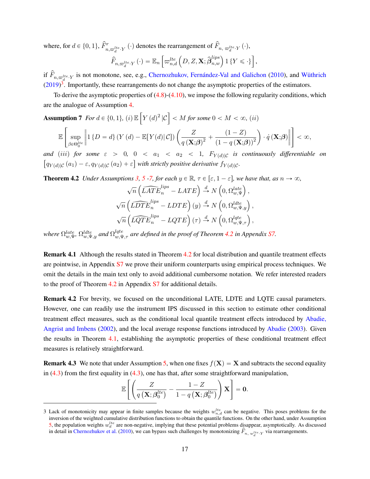where, for  $d \in \{0, 1\}$ ,  $\hat{F}_{n, \varpi_d^{lte} \cdot Y}^r(\cdot)$  denotes the rearrangement of  $\hat{F}_{n, \varpi_d^{lte} \cdot Y}(\cdot)$ ,

$$
\widehat{F}_{n,\varpi_d^{lte}\cdot Y}(\cdot) = \mathbb{E}_n\left[\varpi_{n,d}^{lte}\left(D,Z,\mathbf{X};\widehat{\boldsymbol{\beta}}_{n,w}^{lips}\right)1\left\{Y\leqslant\cdot\right\}\right],
$$

if  $\hat{F}_{n,\varpi_d^{lte}\cdot Y}$  is not monotone, see, e.g., [Chernozhukov, Fernández-Val and Galichon](#page-31-13) [\(2010\)](#page-31-13), and [Wüthrich](#page-33-14)  $(2019)^3$  $(2019)^3$  $(2019)^3$ . Importantly, these rearrangements do not change the asymptotic properties of the estimators.

To derive the asymptotic properties of  $(4.8)$ - $(4.10)$ , we impose the following regularity conditions, which are the analogue of Assumption [4.](#page-11-2) " ı

<span id="page-16-0"></span>**Assumption 7** For 
$$
d \in \{0, 1\}
$$
, (i)  $\mathbb{E}\left[Y(d)^2 | \mathcal{C}\right] < M \text{ for some } 0 < M < \infty$ , (ii)

$$
\mathbb{E}\left[\sup_{\beta\in\Theta_0^{He}}\left\|1\left\{D=d\right\}\left(Y\left(d\right)-\mathbb{E}\left[Y(d\right)|\mathcal{C}\right]\right)\left(\frac{Z}{q\left(\mathbf{X};\boldsymbol{\beta}\right)^2}+\frac{\left(1-Z\right)}{\left(1-q\left(\mathbf{X};\boldsymbol{\beta}\right)\right)^2}\right)\cdot\dot{q}\left(\mathbf{X};\boldsymbol{\beta}\right)\right\|\right]<\infty,
$$

for the control of the control of the control of the control of the control of the control of the control of the control of the control of the control of the control of the control of the control of the control of the cont

*and* (iii) for some  $\varepsilon > 0$ ,  $0 < a_1 < a_2 < 1$ ,  $F_{Y(d)|\mathcal{C}}$  is continuously differentiable on  $q_{Y(d)|\mathcal{C}}(a_1) - \varepsilon, q_{Y(d)|\mathcal{C}}(a_2) + \varepsilon$  with strictly positive derivative  $f_{Y(d)|\mathcal{C}}$ .

<span id="page-16-1"></span>**Theorem 4.2** *Under Assumptions* [3,](#page-9-1) [5](#page-13-0) [-7,](#page-16-0) *for each*  $y \in \mathbb{R}$ ,  $\tau \in [\varepsilon, 1 - \varepsilon]$ , we have that, as  $n \to \infty$ ,<br>  $\sqrt{n} \left( \widehat{LATE}_n^{\text{lips}} - LATE \right) \stackrel{d}{\to} N \left( 0, \Omega_{w,\Psi}^{\text{late}} \right)$ ,

$$
\sqrt{n}\left(\widehat{LATE}_{n}^{lips} - LATE\right) \stackrel{d}{\rightarrow} N\left(0, \Omega_{w,\Psi}^{late}\right),
$$
  

$$
\sqrt{n}\left(\widehat{LDFE}_{n}^{lips} - LDTE\right)(y) \stackrel{d}{\rightarrow} N\left(0, \Omega_{w,\Psi,y}^{late}\right),
$$
  

$$
\sqrt{n}\left(\widehat{LQTE}_{n}^{lips} - LQTE\right)(\tau) \stackrel{d}{\rightarrow} N\left(0, \Omega_{w,\Psi,\tau}^{late}\right),
$$

where  $\Omega_{w,\Psi}^{late},\Omega_{w,\Psi,y}^{late}$  and  $\Omega_{w,\Psi,\tau}^{late}$  are defined in the proof of Theorem [4.2](#page-16-1) in Appendix [S7.](#page-30-0)

**Remark 4.1** Although the results stated in Theorem [4.2](#page-16-1) for local distribution and quantile treatment effects are pointwise, in Appendix [S7](#page-30-0) we prove their uniform counterparts using empirical process techniques. We omit the details in the main text only to avoid additional cumbersome notation. We refer interested readers to the proof of Theorem [4.2](#page-16-1) in Appendix [S7](#page-30-0) for additional details.

**Remark 4.2** For brevity, we focused on the unconditional LATE, LDTE and LQTE causal parameters. However, one can readily use the instrument IPS discussed in this section to estimate other conditional treatment effect measures, such as the conditional local quantile treatment effects introduced by [Abadie,](#page-31-14) [Angrist and Imbens](#page-31-14) [\(2002\)](#page-31-14), and the local average response functions introduced by [Abadie](#page-31-3) [\(2003\)](#page-31-3). Given the results in Theorem [4.1,](#page-15-1) establishing the asymptotic properties of these conditional treatment effect measures is relatively straightforward.

**Remark 4.3** We note that under Assumption [5,](#page-13-0) when one fixes  $f(X) = X$  and subtracts the second equality in  $(4.3)$  from the first equality in  $(4.3)$ , one has that, after some straightforward manipulation,

$$
\mathbb{E}\left[\left(\frac{Z}{q\left(\mathbf{X};\boldsymbol{\beta}_{0}^{lte}\right)}-\frac{1-Z}{1-q\left(\mathbf{X};\boldsymbol{\beta}_{0}^{lte}\right)}\right)\mathbf{X}\right]=\mathbf{0}.
$$

<sup>3</sup> Lack of monotonicity may appear in finite samples because the weights  $w_{n,d}^{lte}$  can be negative. This poses problems for the inversion of the weighted cumulative distribution functions to obtain the quantile functions. On the other hand, under Assumption [5,](#page-13-0) the population weights  $w_d^{lte}$  are non-negative, implying that these potential problems disappear, asymptotically. As discussed in detail in [Chernozhukov et al.](#page-31-13) [\(2010\)](#page-31-13), we can bypass such challenges by monotonizing  $\hat{F}_{n, w_d^{ite} \cdot Y}$  via rearrangements.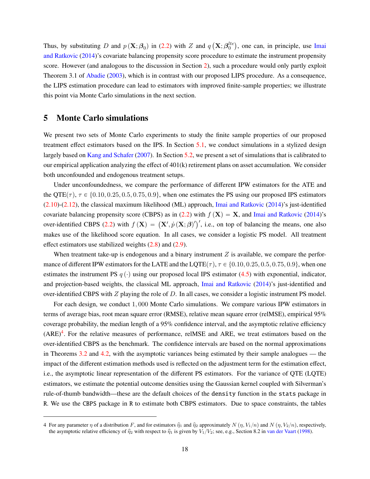Thus, by substituting D and  $p(\mathbf{X}; \boldsymbol{\beta}_0)$  in [\(2.2\)](#page-5-2) with Z and q  $\mathbf{X}; \boldsymbol{\beta}_0^{lte}$ , one can, in principle, use [Imai](#page-32-4) [and Ratkovic](#page-32-4) [\(2014\)](#page-32-4)'s covariate balancing propensity score procedure to estimate the instrument propensity score. However (and analogous to the discussion in Section [2\)](#page-3-0), such a procedure would only partly exploit Theorem 3.1 of [Abadie](#page-31-3) [\(2003\)](#page-31-3), which is in contrast with our proposed LIPS procedure. As a consequence, the LIPS estimation procedure can lead to estimators with improved finite-sample properties; we illustrate this point via Monte Carlo simulations in the next section.

## <span id="page-17-0"></span>**5 Monte Carlo simulations**

We present two sets of Monte Carlo experiments to study the finite sample properties of our proposed treatment effect estimators based on the IPS. In Section [5.1,](#page-18-0) we conduct simulations in a stylized design largely based on [Kang and Schafer](#page-32-1) [\(2007\)](#page-32-1). In Section [5.2,](#page-22-0) we present a set of simulations that is calibrated to our empirical application analyzing the effect of 401(k) retirement plans on asset accumulation. We consider both unconfounded and endogenous treatment setups.

Under unconfoundedness, we compare the performance of different IPW estimators for the ATE and the QTE( $\tau$ ),  $\tau \in \{0.10, 0.25, 0.5, 0.75, 0.9\}$ , when one estimates the PS using our proposed IPS estimators [\(2.10\)](#page-7-3)-[\(2.12\)](#page-8-1), the classical maximum likelihood (ML) approach, [Imai and Ratkovic](#page-32-4) [\(2014\)](#page-32-4)'s just-identified covariate balancing propensity score (CBPS) as in [\(2.2\)](#page-5-2) with  $f(\mathbf{X}) = \mathbf{X}$ , and [Imai and Ratkovic](#page-32-4) [\(2014\)](#page-32-4)'s covariate balancing propensity score (CBFS) as in [\(2.2\)](#page-5-2) with  $f(\mathbf{X}) = \mathbf{X}$ , and final and Natkovic (2014) s<br>over-identified CBPS (2.2) with  $f(\mathbf{X}) = (\mathbf{X}', \dot{p}(\mathbf{X}; \boldsymbol{\beta})')'$ , i.e., on top of balancing the means, one makes use of the likelihood score equation. In all cases, we consider a logistic PS model. All treatment effect estimators use stabilized weights  $(2.8)$  and  $(2.9)$ .

When treatment take-up is endogenous and a binary instrument  $Z$  is available, we compare the performance of different IPW estimators for the LATE and the LQTE( $\tau$ ),  $\tau \in \{0.10, 0.25, 0.5, 0.75, 0.9\}$ , when one estimates the instrument PS  $q(\cdot)$  using our proposed local IPS estimator [\(4.5\)](#page-14-1) with exponential, indicator, and projection-based weights, the classical ML approach, [Imai and Ratkovic](#page-32-4) [\(2014\)](#page-32-4)'s just-identified and over-identified CBPS with  $Z$  playing the role of  $D$ . In all cases, we consider a logistic instrument PS model.

For each design, we conduct 1, 000 Monte Carlo simulations. We compare various IPW estimators in terms of average bias, root mean square error (RMSE), relative mean square error (relMSE), empirical 95% coverage probability, the median length of a 95% confidence interval, and the asymptotic relative efficiency  $(ARE)^4$  $(ARE)^4$ . For the relative measures of performance, relMSE and ARE, we treat estimators based on the over-identified CBPS as the benchmark. The confidence intervals are based on the normal approximations in Theorems [3.2](#page-12-1) and [4.2,](#page-16-1) with the asymptotic variances being estimated by their sample analogues — the impact of the different estimation methods used is reflected on the adjustment term for the estimation effect, i.e., the asymptotic linear representation of the different PS estimators. For the variance of QTE (LQTE) estimators, we estimate the potential outcome densities using the Gaussian kernel coupled with Silverman's rule-of-thumb bandwidth—these are the default choices of the density function in the stats package in R. We use the CBPS package in R to estimate both CBPS estimators. Due to space constraints, the tables

<sup>4</sup> For any parameter  $\eta$  of a distribution F, and for estimators  $\hat{\eta}_1$  and  $\hat{\eta}_2$  approximately  $N(\eta, V_1/n)$  and  $N(\eta, V_2/n)$ , respectively, the asymptotic relative efficiency of  $\hat{\eta}_2$  with respect to  $\hat{\eta}_1$  is given by  $V_1/V_2$ ; see, e.g., Section 8.2 in [van der Vaart](#page-33-13) [\(1998\)](#page-33-13).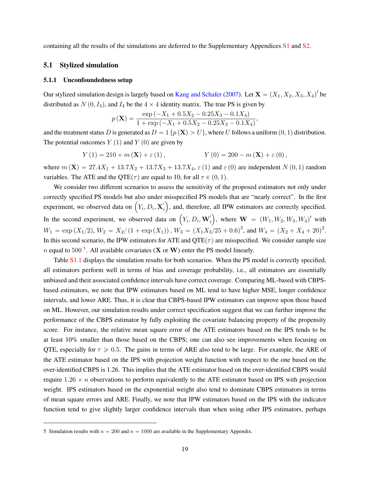<span id="page-18-0"></span>containing all the results of the simulations are deferred to the Supplementary Appendices [S1](#page-1-0) and [S2.](#page-3-0)

#### **5.1 Stylized simulation**

#### <span id="page-18-1"></span>**5.1.1 Unconfoundedness setup**

Our stylized simulation design is largely based on [Kang and Schafer](#page-32-1) [\(2007\)](#page-32-1). Let  $X = (X_1, X_2, X_3, X_4)'$  be distributed as  $N(0, I_4)$ , and  $I_4$  be the  $4 \times 4$  identity matrix. The true PS is given by

$$
p(\mathbf{X}) = \frac{\exp(-X_1 + 0.5X_2 - 0.25X_3 - 0.1X_4)}{1 + \exp(-X_1 + 0.5X_2 - 0.25X_3 - 0.1X_4)},
$$

and the treatment status D is generated as  $D = 1 \{p(\mathbf{X}) > U\}$ , where U follows a uniform  $(0, 1)$  distribution. The potential outcomes  $Y(1)$  and  $Y(0)$  are given by

$$
Y(1) = 210 + m(\mathbf{X}) + \varepsilon(1),
$$
  $Y(0) = 200 - m(\mathbf{X}) + \varepsilon(0),$ 

where  $m(\mathbf{X}) = 27.4X_1 + 13.7X_2 + 13.7X_3 + 13.7X_4$ ,  $\varepsilon(1)$  and  $\varepsilon(0)$  are independent N  $(0, 1)$  random variables. The ATE and the QTE( $\tau$ ) are equal to 10, for all  $\tau \in (0, 1)$ .

We consider two different scenarios to assess the sensitivity of the proposed estimators not only under correctly specified PS models but also under misspecified PS models that are "nearly correct". In the first ¯ correctly specified PS models but also under misspecified PS models that are "nearly correct". In the first experiment, we observed data on  $(Y_i, D_i, \mathbf{X}'_i)$ , and, therefore, all IPW estimators are correctly specified. In the second experiment, we observed data on  $(Y_i, D_i, \mathbf{W}_i)$ , where  $\mathbf{W} = (W_1, W_2, W_3, W_4)$ ' with  $W_1 = \exp(X_1/2), W_2 = X_2/(1 + \exp(X_1)), W_3 = (X_1X_3/25 + 0.6)^3$ , and  $W_4 = (X_2 + X_4 + 20)^2$ . In this second scenario, the IPW estimators for ATE and  $QTE(\tau)$  are misspecified. We consider sample size *n* equal to [5](#page-0-0)00<sup>5</sup>. All available covariates (**X** or **W**) enter the PS model linearly.

Table [S1.1](#page-28-0) displays the simulation results for both scenarios. When the PS model is correctly specified, all estimators perform well in terms of bias and coverage probability, i.e., all estimators are essentially unbiased and their associated confidence intervals have correct coverage. Comparing ML-based with CBPSbased estimators, we note that IPW estimators based on ML tend to have higher MSE, longer confidence intervals, and lower ARE. Thus, it is clear that CBPS-based IPW estimators can improve upon those based on ML. However, our simulation results under correct specification suggest that we can further improve the performance of the CBPS estimator by fully exploiting the covariate balancing property of the propensity score. For instance, the relative mean square error of the ATE estimators based on the IPS tends to be at least  $10\%$  smaller than those based on the CBPS; one can also see improvements when focusing on QTE, especially for  $\tau \geq 0.5$ . The gains in terms of ARE also tend to be large. For example, the ARE of the ATE estimator based on the IPS with projection weight function with respect to the one based on the over-identified CBPS is 1.26. This implies that the ATE estimator based on the over-identified CBPS would require  $1.26 \times n$  observations to perform equivalently to the ATE estimator based on IPS with projection weight. IPS estimators based on the exponential weight also tend to dominate CBPS estimators in terms of mean square errors and ARE. Finally, we note that IPW estimators based on the IPS with the indicator function tend to give slightly larger confidence intervals than when using other IPS estimators, perhaps

<sup>5</sup> Simulation results with  $n = 200$  and  $n = 1000$  are available in the Supplementary Appendix.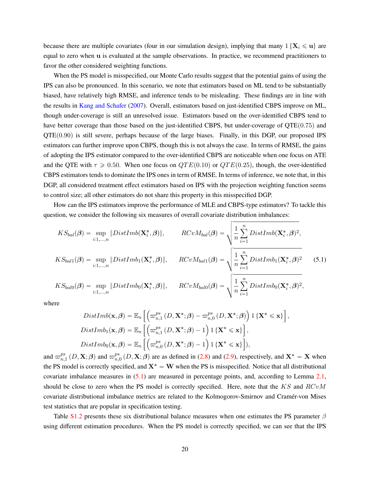because there are multiple covariates (four in our simulation design), implying that many  $1\{X_i \leq u\}$  are equal to zero when u is evaluated at the sample observations. In practice, we recommend practitioners to favor the other considered weighting functions.

When the PS model is misspecified, our Monte Carlo results suggest that the potential gains of using the IPS can also be pronounced. In this scenario, we note that estimators based on ML tend to be substantially biased, have relatively high RMSE, and inference tends to be misleading. These findings are in line with the results in [Kang and Schafer](#page-32-1) [\(2007\)](#page-32-1). Overall, estimators based on just-identified CBPS improve on ML, though under-coverage is still an unresolved issue. Estimators based on the over-identified CBPS tend to have better coverage than those based on the just-identified CBPS, but under-coverage of  $QTE(0.75)$  and  $QTE(0.90)$  is still severe, perhaps because of the large biases. Finally, in this DGP, our proposed IPS estimators can further improve upon CBPS, though this is not always the case. In terms of RMSE, the gains of adopting the IPS estimator compared to the over-identified CBPS are noticeable when one focus on ATE and the QTE with  $\tau \geq 0.50$ . When one focus on  $QTE(0.10)$  or  $QTE(0.25)$ , though, the over-identified CBPS estimators tends to dominate the IPS ones in term of RMSE. In terms of inference, we note that, in this DGP, all considered treatment effect estimators based on IPS with the projection weighting function seems to control size; all other estimators do not share this property in this misspecified DGP.

How can the IPS estimators improve the performance of MLE and CBPS-type estimators? To tackle this

question, we consider the following six measures of overall covariate distribution imbalances:  
\n
$$
KS_{bal}(\boldsymbol{\beta}) = \sup_{i:1,...,n} \|DistImb(\mathbf{X}_i^*, \boldsymbol{\beta})\|,
$$
\n
$$
RCvM_{bal}(\boldsymbol{\beta}) = \sqrt{\frac{1}{n} \sum_{i=1}^n DistImb(\mathbf{X}_i^*, \boldsymbol{\beta})^2},
$$
\n
$$
KS_{bal1}(\boldsymbol{\beta}) = \sup_{i:1,...,n} \|DistImb_1(\mathbf{X}_i^*, \boldsymbol{\beta})\|,
$$
\n
$$
RCvM_{bal1}(\boldsymbol{\beta}) = \sqrt{\frac{1}{n} \sum_{i=1}^n DistImb_1(\mathbf{X}_i^*, \boldsymbol{\beta})^2}
$$
\n
$$
KS_{bal0}(\boldsymbol{\beta}) = \sup_{i:1,...,n} \|DistImb_0(\mathbf{X}_i^*, \boldsymbol{\beta})\|,
$$
\n
$$
RCvM_{bal0}(\boldsymbol{\beta}) = \sqrt{\frac{1}{n} \sum_{i=1}^n DistImb_0(\mathbf{X}_i^*, \boldsymbol{\beta})^2},
$$
\n(5.1)

where

$$
DistImb(\mathbf{x}, \beta) = \mathbb{E}_n \left[ \left( \varpi_{n,1}^{ps} (D, \mathbf{X}^*; \beta) - \varpi_{n,0}^{ps} (D, \mathbf{X}^*; \beta) \right) \mathbf{1} \{ \mathbf{X}^* \leq \mathbf{x} \} \right]
$$
  
\n
$$
DistImb_1(\mathbf{x}, \beta) = \mathbb{E}_n \left[ \left( \varpi_{n,1}^{ps} (D, \mathbf{X}^*; \beta) - 1 \right) \mathbf{1} \{ \mathbf{X}^* \leq \mathbf{x} \} \right],
$$
  
\n
$$
DistImb_0(\mathbf{x}, \beta) = \mathbb{E}_n \left[ \left( \varpi_{n,0}^{ps} (D, \mathbf{X}^*; \beta) - 1 \right) \mathbf{1} \{ \mathbf{X}^* \leq \mathbf{x} \} \right],
$$

<span id="page-19-0"></span>,

and  $\varpi_n^{ps}$  $_{n,1}^{ps}\left( D,\mathbf{X};\boldsymbol{\beta}\right)$  and  $\varpi_{n,\text{c}}^{ps}$  $_{n,0}^{ps}(D, \mathbf{X}; \beta)$  are as defined in [\(2.8\)](#page-7-5) and [\(2.9\)](#page-7-6), respectively, and  $\mathbf{X}^* = \mathbf{X}$  when the PS model is correctly specified, and  $X^* = W$  when the PS is misspecified. Notice that all distributional covariate imbalance measures in [\(5.1\)](#page-19-0) are measured in percentage points, and, according to Lemma [2.1,](#page-5-0) should be close to zero when the PS model is correctly specified. Here, note that the  $KS$  and  $RCvM$ covariate distributional imbalance metrics are related to the Kolmogorov-Smirnov and Cramér-von Mises test statistics that are popular in specification testing.

Table [S1.2](#page-0-0) presents these six distributional balance measures when one estimates the PS parameter  $\beta$ using different estimation procedures. When the PS model is correctly specified, we can see that the IPS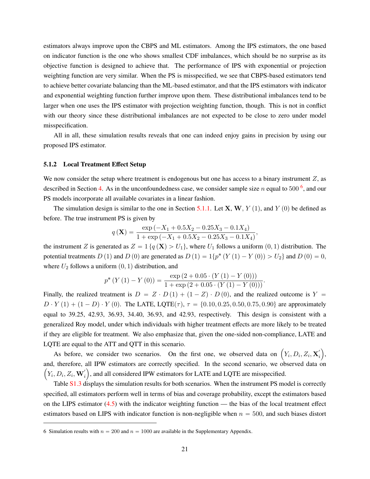estimators always improve upon the CBPS and ML estimators. Among the IPS estimators, the one based on indicator function is the one who shows smallest CDF imbalances, which should be no surprise as its objective function is designed to achieve that. The performance of IPS with exponential or projection weighting function are very similar. When the PS is misspecified, we see that CBPS-based estimators tend to achieve better covariate balancing than the ML-based estimator, and that the IPS estimators with indicator and exponential weighting function further improve upon them. These distributional imbalances tend to be larger when one uses the IPS estimator with projection weighting function, though. This is not in conflict with our theory since these distributional imbalances are not expected to be close to zero under model misspecification.

All in all, these simulation results reveals that one can indeed enjoy gains in precision by using our proposed IPS estimator.

#### **5.1.2 Local Treatment Effect Setup**

We now consider the setup where treatment is endogenous but one has access to a binary instrument  $Z$ , as described in Section [4.](#page-12-0) As in the unconfoundedness case, we consider sample size n equal to 500  $<sup>6</sup>$  $<sup>6</sup>$  $<sup>6</sup>$ , and our</sup> PS models incorporate all available covariates in a linear fashion.

The simulation design is similar to the one in Section [5.1.1.](#page-18-1) Let **X**, **W**,  $Y(1)$ , and  $Y(0)$  be defined as before. The true instrument PS is given by

$$
q\left(\mathbf{X}\right) = \frac{\exp\left(-X_1 + 0.5X_2 - 0.25X_3 - 0.1X_4\right)}{1 + \exp\left(-X_1 + 0.5X_2 - 0.25X_3 - 0.1X_4\right)},
$$

the instrument Z is generated as  $Z = 1 \{q(\mathbf{X}) > U_1\}$ , where  $U_1$  follows a uniform  $(0, 1)$  distribution. The potential treatments D (1) and D (0) are generated as  $D(1) = 1\{p^* (Y(1) - Y(0)) > U_2\}$  and  $D(0) = 0$ , where  $U_2$  follows a uniform  $(0, 1)$  distribution, and

$$
p^* (Y (1) - Y (0)) = \frac{\exp (2 + 0.05 \cdot (Y (1) - Y (0)))}{1 + \exp (2 + 0.05 \cdot (Y (1) - Y (0)))}.
$$

Finally, the realized treatment is  $D = Z \cdot D(1) + (1 - Z) \cdot D(0)$ , and the realized outcome is Y =  $D \cdot Y(1) + (1 - D) \cdot Y(0)$ . The LATE, LQTE( $\tau$ ),  $\tau = \{0.10, 0.25, 0.50, 0.75, 0.90\}$  are approximately equal to 39.25, 42.93, 36.93, 34.40, 36.93, and 42.93, respectively. This design is consistent with a generalized Roy model, under which individuals with higher treatment effects are more likely to be treated if they are eligible for treatment. We also emphasize that, given the one-sided non-compliance, LATE and LQTE are equal to the ATT and QTT in this scenario.

TE are equal to the ATT and QTT in this scenario.<br>As before, we consider two scenarios. On the first one, we observed data on  $(Y_i, D_i, Z_i, \mathbf{X}_i)$ , and, therefore, all IPW estimators are correctly specified. In the second scenario, we observed data on  $(Y_i, D_i, Z_i, \mathbf{W}_i')$ , and all considered IPW estimators for LATE and LQTE are misspecified.

Table [S1.3](#page-0-0) displays the simulation results for both scenarios. When the instrument PS model is correctly specified, all estimators perform well in terms of bias and coverage probability, except the estimators based on the LIPS estimator  $(4.5)$  with the indicator weighting function — the bias of the local treatment effect estimators based on LIPS with indicator function is non-negligible when  $n = 500$ , and such biases distort

<sup>6</sup> Simulation results with  $n = 200$  and  $n = 1000$  are available in the Supplementary Appendix.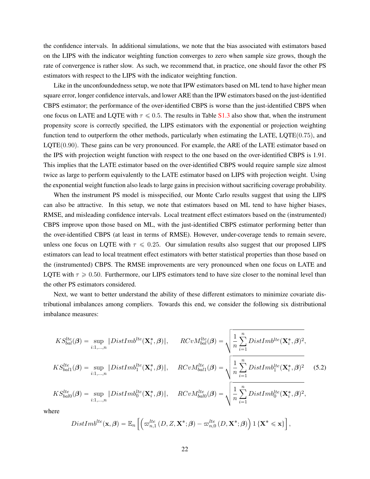the confidence intervals. In additional simulations, we note that the bias associated with estimators based on the LIPS with the indicator weighting function converges to zero when sample size grows, though the rate of convergence is rather slow. As such, we recommend that, in practice, one should favor the other PS estimators with respect to the LIPS with the indicator weighting function.

Like in the unconfoundedness setup, we note that IPW estimators based on ML tend to have higher mean square error, longer confidence intervals, and lower ARE than the IPW estimators based on the just-identified CBPS estimator; the performance of the over-identified CBPS is worse than the just-identified CBPS when one focus on LATE and LQTE with  $\tau \leq 0.5$ . The results in Table [S1.3](#page-0-0) also show that, when the instrument propensity score is correctly specified, the LIPS estimators with the exponential or projection weighting function tend to outperform the other methods, particularly when estimating the LATE, LQTE $(0.75)$ , and  $LQTE(0.90)$ . These gains can be very pronounced. For example, the ARE of the LATE estimator based on the IPS with projection weight function with respect to the one based on the over-identified CBPS is 1.91. This implies that the LATE estimator based on the over-identified CBPS would require sample size almost twice as large to perform equivalently to the LATE estimator based on LIPS with projection weight. Using the exponential weight function also leads to large gains in precision without sacrificing coverage probability.

When the instrument PS model is misspecified, our Monte Carlo results suggest that using the LIPS can also be attractive. In this setup, we note that estimators based on ML tend to have higher biases, RMSE, and misleading confidence intervals. Local treatment effect estimators based on the (instrumented) CBPS improve upon those based on ML, with the just-identified CBPS estimator performing better than the over-identified CBPS (at least in terms of RMSE). However, under-coverage tends to remain severe, unless one focus on LQTE with  $\tau \leq 0.25$ . Our simulation results also suggest that our proposed LIPS estimators can lead to local treatment effect estimators with better statistical properties than those based on the (instrumented) CBPS. The RMSE improvements are very pronounced when one focus on LATE and LQTE with  $\tau \geq 0.50$ . Furthermore, our LIPS estimators tend to have size closer to the nominal level than the other PS estimators considered.

Next, we want to better understand the ability of these different estimators to minimize covariate distributional imbalances among compliers. Towards this end, we consider the following six distributional imbalance measures:

$$
KS_{bal}^{lte}(\boldsymbol{\beta}) = \sup_{i:1,...,n} \left\|DistImb^{lte}(\mathbf{X}_{i}^{*},\boldsymbol{\beta})\right\|, \quad RCvM_{bal}^{lte}(\boldsymbol{\beta}) = \sqrt{\frac{1}{n} \sum_{i=1}^{n} DistImb^{lte}(\mathbf{X}_{i}^{*},\boldsymbol{\beta})^{2}},
$$
  
\n
$$
KS_{bal1}^{lte}(\boldsymbol{\beta}) = \sup_{i:1,...,n} \left\|DistImb_{1}^{lte}(\mathbf{X}_{i}^{*},\boldsymbol{\beta})\right\|, \quad RCvM_{bal1}^{lte}(\boldsymbol{\beta}) = \sqrt{\frac{1}{n} \sum_{i=1}^{n} DistImb_{1}^{lte}(\mathbf{X}_{i}^{*},\boldsymbol{\beta})^{2}} \quad (5.2)
$$
  
\n
$$
KS_{bal0}^{lte}(\boldsymbol{\beta}) = \sup_{i:1,...,n} \left\|DistImb_{0}^{lte}(\mathbf{X}_{i}^{*},\boldsymbol{\beta})\right\|, \quad RCvM_{bal0}^{lte}(\boldsymbol{\beta}) = \sqrt{\frac{1}{n} \sum_{i=1}^{n} DistImb_{0}^{lte}(\mathbf{X}_{i}^{*},\boldsymbol{\beta})^{2}},
$$

where

<span id="page-21-0"></span>
$$
DistImb^{lte}(\mathbf{x},\boldsymbol{\beta}) = \mathbb{E}_n\left[\left(\varpi_{n,1}^{lte}\left(D,Z,\mathbf{X}^*;\boldsymbol{\beta}\right) - \varpi_{n,0}^{lte}\left(D,\mathbf{X}^*;\boldsymbol{\beta}\right)\right) 1\left\{\mathbf{X}^* \leqslant \mathbf{x}\right\}\right],
$$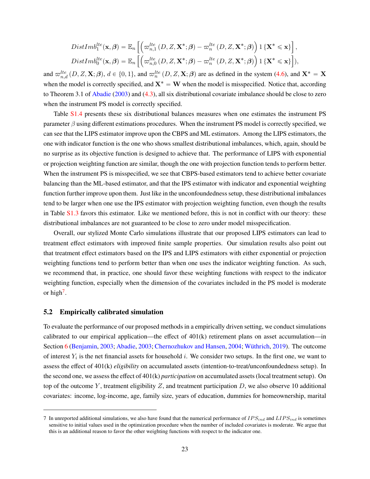$$
DistImb_1^{lte}(\mathbf{x}, \boldsymbol{\beta}) = \mathbb{E}_n \left[ \left( \varpi_{n,1}^{lte} (D, Z, \mathbf{X}^*; \boldsymbol{\beta}) - \varpi_n^{lte} (D, Z, \mathbf{X}^*; \boldsymbol{\beta}) \right) \mathbf{1} \left\{ \mathbf{X}^* \leq \mathbf{x} \right\} \right],
$$
  
\n
$$
DistImb_0^{lte}(\mathbf{x}, \boldsymbol{\beta}) = \mathbb{E}_n \left[ \left( \varpi_{n,0}^{lte} (D, Z, \mathbf{X}^*; \boldsymbol{\beta}) - \varpi_n^{lte} (D, Z, \mathbf{X}^*; \boldsymbol{\beta}) \right) \mathbf{1} \left\{ \mathbf{X}^* \leq \mathbf{x} \right\} \right],
$$

and  $\varpi_{n,d}^{lte}(D,Z,\mathbf{X};\boldsymbol{\beta}), d \in \{0,1\}$ , and  $\varpi_n^{lte}(D,Z,\mathbf{X};\boldsymbol{\beta})$  are as defined in the system [\(4.6\)](#page-14-2), and  $\mathbf{X}^* = \mathbf{X}$ when the model is correctly specified, and  $X^* = W$  when the model is misspecified. Notice that, according to Theorem 3.1 of [Abadie](#page-31-3) [\(2003\)](#page-31-3) and [\(4.3\)](#page-13-2), all six distributional covariate imbalance should be close to zero when the instrument PS model is correctly specified.

Table [S1.4](#page-0-0) presents these six distributional balances measures when one estimates the instrument PS parameter  $\beta$  using different estimations procedures. When the instrument PS model is correctly specified, we can see that the LIPS estimator improve upon the CBPS and ML estimators. Among the LIPS estimators, the one with indicator function is the one who shows smallest distributional imbalances, which, again, should be no surprise as its objective function is designed to achieve that. The performance of LIPS with exponential or projection weighting function are similar, though the one with projection function tends to perform better. When the instrument PS is misspecified, we see that CBPS-based estimators tend to achieve better covariate balancing than the ML-based estimator, and that the IPS estimator with indicator and exponential weighting function further improve upon them. Just like in the unconfoundedness setup, these distributional imbalances tend to be larger when one use the IPS estimator with projection weighting function, even though the results in Table [S1.3](#page-0-0) favors this estimator. Like we mentioned before, this is not in conflict with our theory: these distributional imbalances are not guaranteed to be close to zero under model misspecification.

Overall, our stylized Monte Carlo simulations illustrate that our proposed LIPS estimators can lead to treatment effect estimators with improved finite sample properties. Our simulation results also point out that treatment effect estimators based on the IPS and LIPS estimators with either exponential or projection weighting functions tend to perform better than when one uses the indicator weighting function. As such, we recommend that, in practice, one should favor these weighting functions with respect to the indicator weighting function, especially when the dimension of the covariates included in the PS model is moderate or high<sup>[7](#page-0-0)</sup>.

#### <span id="page-22-0"></span>**5.2 Empirically calibrated simulation**

To evaluate the performance of our proposed methods in a empirically driven setting, we conduct simulations calibrated to our empirical application—the effect of 401(k) retirement plans on asset accumulation—in Section [6](#page-26-0) [\(Benjamin,](#page-31-15) [2003;](#page-31-15) [Abadie,](#page-31-3) [2003;](#page-31-3) [Chernozhukov and Hansen,](#page-31-16) [2004;](#page-31-16) [Wüthrich,](#page-33-14) [2019\)](#page-33-14). The outcome of interest  $Y_i$  is the net financial assets for household i. We consider two setups. In the first one, we want to assess the effect of 401(k) *eligibility* on accumulated assets (intention-to-treat/unconfoundedness setup). In the second one, we assess the effect of 401(k) *participation* on accumulated assets (local treatment setup). On top of the outcome Y, treatment eligibility Z, and treatment participation  $D$ , we also observe 10 additional covariates: income, log-income, age, family size, years of education, dummies for homeownership, marital

<sup>7</sup> In unreported additional simulations, we also have found that the numerical performance of  $IPS_{ind}$  and  $LIPS_{ind}$  is sometimes sensitive to initial values used in the optimization procedure when the number of included covariates is moderate. We argue that this is an additional reason to favor the other weighting functions with respect to the indicator one.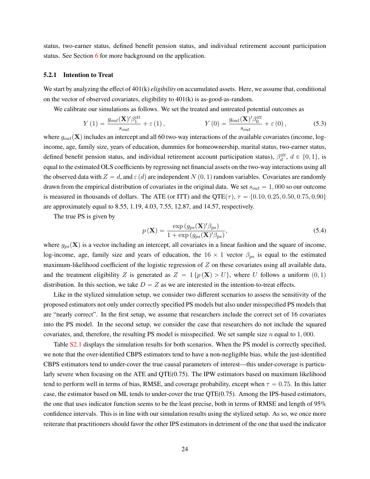status, two-earner status, defined benefit pension status, and individual retirement account participation status. See Section [6](#page-26-0) for more background on the application.

#### **5.2.1 Intention to Treat**

We start by analyzing the effect of 401(k) *eligibility* on accumulated assets. Here, we assume that, conditional on the vector of observed covariates, eligibility to 401(k) is as-good-as-random.

We calibrate our simulations as follows. We set the treated and untreated potential outcomes as

$$
Y(1) = \frac{g_{out}(\mathbf{X})'\beta_1^{itt}}{s_{out}} + \varepsilon(1), \qquad Y(0) = \frac{g_{out}(\mathbf{X})'\beta_0^{itt}}{s_{out}} + \varepsilon(0), \qquad (5.3)
$$

where  $g_{out}(\mathbf{X})$  includes an intercept and all 60 two-way interactions of the available covariates (income, logincome, age, family size, years of education, dummies for homeownership, marital status, two-earner status, defined benefit pension status, and individual retirement account participation status),  $\beta_d^{itt}$ ,  $d \in \{0, 1\}$ , is equal to the estimated OLS coefficients by regressing net financial assets on the two-way interactions using all the observed data with  $Z = d$ , and  $\varepsilon$  (d) are independent N  $(0, 1)$  random variables. Covariates are randomly drawn from the empirical distribution of covariates in the original data. We set  $s_{out} = 1,000$  so our outcome is measured in thousands of dollars. The ATE (or ITT) and the QTE( $\tau$ ),  $\tau = \{0.10, 0.25, 0.50, 0.75, 0.90\}$ are approximately equal to 8.55, 1.19, 4.03, 7.55, 12.87, and 14.57, respectively.

The true PS is given by

<span id="page-23-1"></span><span id="page-23-0"></span>
$$
p\left(\mathbf{X}\right) = \frac{\exp\left(g_{ps}(\mathbf{X})'\beta_{ps}\right)}{1 + \exp\left(g_{ps}(\mathbf{X})'\beta_{ps}\right)},\tag{5.4}
$$

where  $g_{ps}(\mathbf{X})$  is a vector including an intercept, all covariates in a linear fashion and the square of income, log-income, age, family size and years of education, the  $16 \times 1$  vector  $\beta_{ps}$  is equal to the estimated maximum-likelihood coefficient of the logistic regression of  $Z$  on these covariates using all available data, and the treatment eligibility Z is generated as  $Z = 1 \{p(\mathbf{X}) > U\}$ , where U follows a uniform  $(0, 1)$ distribution. In this section, we take  $D = Z$  as we are interested in the intention-to-treat effects.

Like in the stylized simulation setup, we consider two different scenarios to assess the sensitivity of the proposed estimators not only under correctly specified PS models but also under misspecified PS models that are "nearly correct". In the first setup, we assume that researchers include the correct set of 16 covariates into the PS model. In the second setup, we consider the case that researchers do not include the squared covariates, and, therefore, the resulting PS model is misspecified. We set sample size  $n$  equal to 1,000.

Table [S2.1](#page-0-0) displays the simulation results for both scenarios. When the PS model is correctly specified, we note that the over-identified CBPS estimators tend to have a non-negligible bias, while the just-identified CBPS estimators tend to under-cover the true causal parameters of interest—this under-coverage is particularly severe when focusing on the ATE and QTE(0.75). The IPW estimators based on maximum likelihood tend to perform well in terms of bias, RMSE, and coverage probability, except when  $\tau = 0.75$ . In this latter case, the estimator based on ML tends to under-cover the true QTE(0.75). Among the IPS-based estimators, the one that uses indicator function seems to be the least precise, both in terms of RMSE and length of 95% confidence intervals. This is in line with our simulation results using the stylized setup. As so, we once more reiterate that practitioners should favor the other IPS estimators in detriment of the one that used the indicator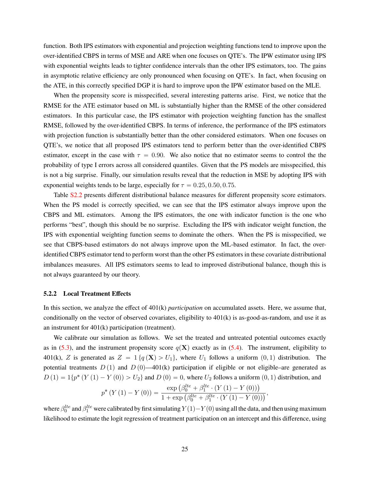function. Both IPS estimators with exponential and projection weighting functions tend to improve upon the over-identified CBPS in terms of MSE and ARE when one focuses on QTE's. The IPW estimator using IPS with exponential weights leads to tighter confidence intervals than the other IPS estimators, too. The gains in asymptotic relative efficiency are only pronounced when focusing on QTE's. In fact, when focusing on the ATE, in this correctly specified DGP it is hard to improve upon the IPW estimator based on the MLE.

When the propensity score is misspecified, several interesting patterns arise. First, we notice that the RMSE for the ATE estimator based on ML is substantially higher than the RMSE of the other considered estimators. In this particular case, the IPS estimator with projection weighting function has the smallest RMSE, followed by the over-identified CBPS. In terms of inference, the performance of the IPS estimators with projection function is substantially better than the other considered estimators. When one focuses on QTE's, we notice that all proposed IPS estimators tend to perform better than the over-identified CBPS estimator, except in the case with  $\tau = 0.90$ . We also notice that no estimator seems to control the the probability of type I errors across all considered quantiles. Given that the PS models are misspecified, this is not a big surprise. Finally, our simulation results reveal that the reduction in MSE by adopting IPS with exponential weights tends to be large, especially for  $\tau = 0.25, 0.50, 0.75$ .

Table [S2.2](#page-0-0) presents different distributional balance measures for different propensity score estimators. When the PS model is correctly specified, we can see that the IPS estimator always improve upon the CBPS and ML estimators. Among the IPS estimators, the one with indicator function is the one who performs "best", though this should be no surprise. Excluding the IPS with indicator weight function, the IPS with exponential weighting function seems to dominate the others. When the PS is misspecified, we see that CBPS-based estimators do not always improve upon the ML-based estimator. In fact, the overidentified CBPS estimator tend to perform worst than the other PS estimators in these covariate distributional imbalances measures. All IPS estimators seems to lead to improved distributional balance, though this is not always guaranteed by our theory.

#### **5.2.2 Local Treatment Effects**

In this section, we analyze the effect of 401(k) *participation* on accumulated assets. Here, we assume that, conditionally on the vector of observed covariates, eligibility to 401(k) is as-good-as-random, and use it as an instrument for 401(k) participation (treatment).

We calibrate our simulation as follows. We set the treated and untreated potential outcomes exactly as in [\(5.3\)](#page-23-0), and the instrument propensity score  $q(\mathbf{X})$  exactly as in [\(5.4\)](#page-23-1). The instrument, eligibility to 401(k), Z is generated as  $Z = 1 \{q(\mathbf{X}) > U_1\}$ , where  $U_1$  follows a uniform  $(0, 1)$  distribution. The potential treatments  $D(1)$  and  $D(0)$ —401(k) participation if eligible or not eligible–are generated as

$$
D(1) = 1\{p^* (Y(1) - Y(0)) > U_2\} \text{ and } D(0) = 0, \text{ where } U_2 \text{ follows a uniform } (0, 1) \text{ distribution, and}
$$

$$
p^* (Y(1) - Y(0)) = \frac{\exp \left(\beta_0^{lte} + \beta_1^{lte} \cdot (Y(1) - Y(0))\right)}{1 + \exp \left(\beta_0^{lte} + \beta_1^{lte} \cdot (Y(1) - Y(0))\right)},
$$

where  $\beta_0^{lte}$  and  $\beta_1^{lte}$  were calibrated by first simulating  $Y(1) - Y(0)$  using all the data, and then using maximum likelihood to estimate the logit regression of treatment participation on an intercept and this difference, using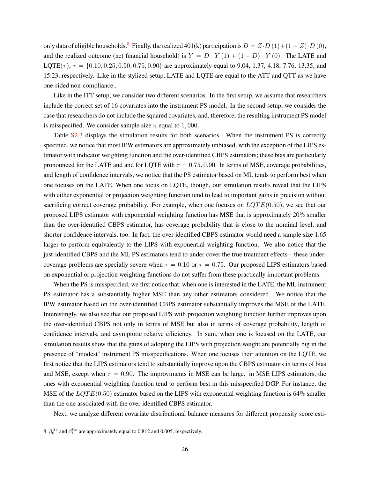only data of eligible households.<sup>[8](#page-0-0)</sup> Finally, the realized 401(k) participation is  $D = Z \cdot D(1) + (1 - Z) \cdot D(0)$ , and the realized outcome (net financial household) is  $Y = D \cdot Y(1) + (1 - D) \cdot Y(0)$ . The LATE and  $LQTE(\tau)$ ,  $\tau = \{0.10, 0.25, 0.50, 0.75, 0.90\}$  are approximately equal to 9.04, 1.37, 4.18, 7.76, 13.35, and 15.23, respectively. Like in the stylized setup, LATE and LQTE are equal to the ATT and QTT as we have one-sided non-compliance..

Like in the ITT setup, we consider two different scenarios. In the first setup, we assume that researchers include the correct set of 16 covariates into the instrument PS model. In the second setup, we consider the case that researchers do not include the squared covariates, and, therefore, the resulting instrument PS model is misspecified. We consider sample size  $n$  equal to 1,000.

Table [S2.3](#page-0-0) displays the simulation results for both scenarios. When the instrument PS is correctly specified, we notice that most IPW estimators are approximately unbiased, with the exception of the LIPS estimator with indicator weighting function and the over-identified CBPS estimators; these bias are particularly pronounced for the LATE and and for LQTE with  $\tau = 0.75, 0.90$ . In terms of MSE, coverage probabilities, and length of confidence intervals, we notice that the PS estimator based on ML tends to perform best when one focuses on the LATE. When one focus on LQTE, though, our simulation results reveal that the LIPS with either exponential or projection weighting function tend to lead to important gains in precision without sacrificing correct coverage probability. For example, when one focuses on  $LQTE(0.50)$ , we see that our proposed LIPS estimator with exponential weighting function has MSE that is approximately 20% smaller than the over-identified CBPS estimator, has coverage probability that is close to the nominal level, and shorter confidence intervals, too. In fact, the over-identified CBPS estimator would need a sample size 1.65 larger to perform equivalently to the LIPS with exponential weighting function. We also notice that the just-identified CBPS and the ML PS estimators tend to under-cover the true treatment effects—these undercoverage problems are specially severe when  $\tau = 0.10$  or  $\tau = 0.75$ . Our proposed LIPS estimators based on exponential or projection weighting functions do not suffer from these practically important problems.

When the PS is misspecified, we first notice that, when one is interested in the LATE, the ML instrument PS estimator has a substantially higher MSE than any other estimators considered. We notice that the IPW estimator based on the over-identified CBPS estimator substantially improves the MSE of the LATE. Interestingly, we also see that our proposed LIPS with projection weighting function further improves upon the over-identified CBPS not only in terms of MSE but also in terms of coverage probability, length of confidence intervals, and asymptotic relative efficiency. In sum, when one is focused on the LATE, our simulation results show that the gains of adopting the LIPS with projection weight are potentially big in the presence of "modest" instrument PS misspecifications. When one focuses their attention on the LQTE, we first notice that the LIPS estimators tend to substantially improve upon the CBPS estimators in terms of bias and MSE, except when  $\tau = 0.90$ . The improviments in MSE can be large. in MSE LIPS estimators, the ones with exponential weighting function tend to perform best in this misspecified DGP. For instance, the MSE of the  $LQTE(0.50)$  estimator based on the LIPS with exponential weighting function is 64% smaller than the one associated with the over-identified CBPS estimator.

Next, we analyze different covariate distributional balance measures for different propensity score esti-

<sup>8</sup>  $\beta_0^{lte}$  and  $\beta_1^{lte}$  are approximately equal to 0.812 and 0.005, respectively.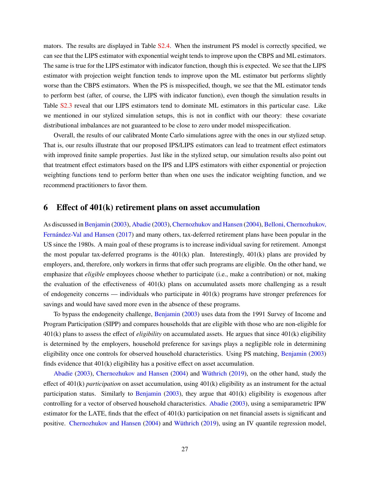mators. The results are displayed in Table [S2.4.](#page-0-0) When the instrument PS model is correctly specified, we can see that the LIPS estimator with exponential weight tends to improve upon the CBPS and ML estimators. The same is true for the LIPS estimator with indicator function, though this is expected. We see that the LIPS estimator with projection weight function tends to improve upon the ML estimator but performs slightly worse than the CBPS estimators. When the PS is misspecified, though, we see that the ML estimator tends to perform best (after, of course, the LIPS with indicator function), even though the simulation results in Table [S2.3](#page-0-0) reveal that our LIPS estimators tend to dominate ML estimators in this particular case. Like we mentioned in our stylized simulation setups, this is not in conflict with our theory: these covariate distributional imbalances are not guaranteed to be close to zero under model misspecification.

Overall, the results of our calibrated Monte Carlo simulations agree with the ones in our stylized setup. That is, our results illustrate that our proposed IPS/LIPS estimators can lead to treatment effect estimators with improved finite sample properties. Just like in the stylized setup, our simulation results also point out that treatment effect estimators based on the IPS and LIPS estimators with either exponential or projection weighting functions tend to perform better than when one uses the indicator weighting function, and we recommend practitioners to favor them.

## <span id="page-26-0"></span>**6 Effect of 401(k) retirement plans on asset accumulation**

As discussed in [Benjamin](#page-31-15) [\(2003\)](#page-31-15), [Abadie](#page-31-3) [\(2003\)](#page-31-3), [Chernozhukov and Hansen](#page-31-16) [\(2004\)](#page-31-16), [Belloni, Chernozhukov,](#page-31-17) [Fernández-Val and Hansen](#page-31-17) [\(2017\)](#page-31-17) and many others, tax-deferred retirement plans have been popular in the US since the 1980s. A main goal of these programs is to increase individual saving for retirement. Amongst the most popular tax-deferred programs is the  $401(k)$  plan. Interestingly,  $401(k)$  plans are provided by employers, and, therefore, only workers in firms that offer such programs are eligible. On the other hand, we emphasize that *eligible* employees choose whether to participate (i.e., make a contribution) or not, making the evaluation of the effectiveness of  $401(k)$  plans on accumulated assets more challenging as a result of endogeneity concerns — individuals who participate in 401(k) programs have stronger preferences for savings and would have saved more even in the absence of these programs.

To bypass the endogeneity challenge, [Benjamin](#page-31-15) [\(2003\)](#page-31-15) uses data from the 1991 Survey of Income and Program Participation (SIPP) and compares households that are eligible with those who are non-eligible for 401(k) plans to assess the effect of *eligibility* on accumulated assets. He argues that since 401(k) eligibility is determined by the employers, household preference for savings plays a negligible role in determining eligibility once one controls for observed household characteristics. Using PS matching, [Benjamin](#page-31-15) [\(2003\)](#page-31-15) finds evidence that 401(k) eligibility has a positive effect on asset accumulation.

[Abadie](#page-31-3) [\(2003\)](#page-31-3), [Chernozhukov and Hansen](#page-31-16) [\(2004\)](#page-31-16) and [Wüthrich](#page-33-14) [\(2019\)](#page-33-14), on the other hand, study the effect of 401(k) *participation* on asset accumulation, using 401(k) eligibility as an instrument for the actual participation status. Similarly to [Benjamin](#page-31-15)  $(2003)$ , they argue that  $401(k)$  eligibility is exogenous after controlling for a vector of observed household characteristics. [Abadie](#page-31-3) [\(2003\)](#page-31-3), using a semiparametric IPW estimator for the LATE, finds that the effect of 401(k) participation on net financial assets is significant and positive. [Chernozhukov and Hansen](#page-31-16) [\(2004\)](#page-31-16) and [Wüthrich](#page-33-14) [\(2019\)](#page-33-14), using an IV quantile regression model,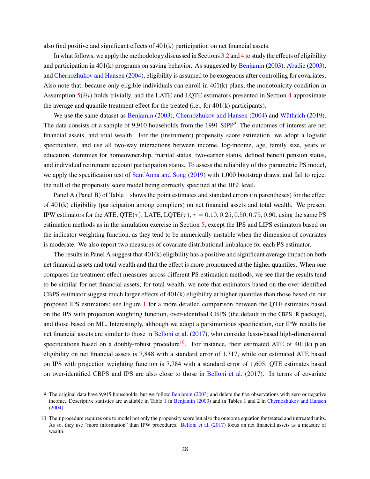also find positive and significant effects of 401(k) participation on net financial assets.

In what follows, we apply the methodology discussed in Sections [3.2](#page-10-2) and [4](#page-12-0) to study the effects of eligibility and participation in 401(k) programs on saving behavior. As suggested by [Benjamin](#page-31-15) [\(2003\)](#page-31-15), [Abadie](#page-31-3) [\(2003\)](#page-31-3), and [Chernozhukov and Hansen](#page-31-16) [\(2004\)](#page-31-16), eligibility is assumed to be exogenous after controlling for covariates. Also note that, because only eligible individuals can enroll in 401(k) plans, the monotonicity condition in Assumption  $5(iii)$  $5(iii)$  holds trivially, and the LATE and LQTE estimators presented in Section [4](#page-12-0) approximate the average and quantile treatment effect for the treated (i.e., for 401(k) participants).

We use the same dataset as [Benjamin](#page-31-15) [\(2003\)](#page-31-15), [Chernozhukov and Hansen](#page-31-16) [\(2004\)](#page-31-16) and [Wüthrich](#page-33-14) [\(2019\)](#page-33-14). The data consists of a sample of [9](#page-0-0),910 households from the 1991 SIPP<sup>9</sup>. The outcomes of interest are net financial assets, and total wealth. For the (instrument) propensity score estimation, we adopt a logistic specification, and use all two-way interactions between income, log-income, age, family size, years of education, dummies for homeownership, marital status, two-earner status, defined benefit pension status, and individual retirement account participation status. To assess the reliability of this parametric PS model, we apply the specification test of [Sant'Anna and Song](#page-33-8) [\(2019\)](#page-33-8) with 1,000 bootstrap draws, and fail to reject the null of the propensity score model being correctly specified at the 10% level.

Panel A (Panel B) of Table [1](#page-28-0) shows the point estimates and standard errors (in parentheses) for the effect of 401(k) eligibility (participation among compliers) on net financial assets and total wealth. We present IPW estimators for the ATE, QTE( $\tau$ ), LATE, LQTE( $\tau$ ),  $\tau = 0.10, 0.25, 0.50, 0.75, 0.90$ , using the same PS estimation methods as in the simulation exercise in Section [5,](#page-17-0) except the IPS and LIPS estimators based on the indicator weighting function, as they tend to be numerically unstable when the dimension of covariates is moderate. We also report two measures of covariate distributional imbalance for each PS estimator.

The results in Panel A suggest that 401(k) eligibility has a positive and significant average impact on both net financial assets and total wealth and that the effect is more pronounced at the higher quantiles. When one compares the treatment effect measures across different PS estimation methods, we see that the results tend to be similar for net financial assets; for total wealth, we note that estimators based on the over-identified CBPS estimator suggest much larger effects of 401(k) eligibility at higher quantiles than those based on our proposed IPS estimators; see Figure [1](#page-29-0) for a more detailed comparison between the QTE estimates based on the IPS with projection weighting function, over-identified CBPS (the default in the CBPS R package), and those based on ML. Interestingly, although we adopt a parsimonious specification, our IPW results for net financial assets are similar to those in [Belloni et al.](#page-31-17) [\(2017\)](#page-31-17), who consider lasso-based high-dimensional specifications based on a doubly-robust procedure<sup>[10](#page-0-0)</sup>. For instance, their estimated ATE of  $401(k)$  plan eligibility on net financial assets is 7,848 with a standard error of 1,317, while our estimated ATE based on IPS with projection weighting function is 7,784 with a standard error of 1,605; QTE estimates based on over-identified CBPS and IPS are also close to those in [Belloni et al.](#page-31-17) [\(2017\)](#page-31-17). In terms of covariate

<sup>9</sup> The original data have 9,915 households, but we follow [Benjamin](#page-31-15) [\(2003\)](#page-31-15) and delete the five observations with zero or negative income. Descriptive statistics are available in Table 1 in [Benjamin](#page-31-15) [\(2003\)](#page-31-15) and in Tables 1 and 2 in [Chernozhukov and Hansen](#page-31-16) [\(2004\)](#page-31-16).

<sup>10</sup> Their procedure requires one to model not only the propensity score but also the outcome equation for treated and untreated units. As so, they use "more information" than IPW procedures. [Belloni et al.](#page-31-17) [\(2017\)](#page-31-17) focus on net financial assets as a measure of wealth.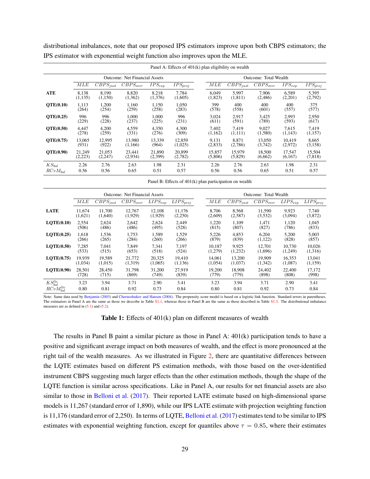<span id="page-28-0"></span>

| Panel A: Effects of $401(k)$ plan eligibility on wealth |                                      |               |               |             |              |                       |                          |               |                        |                         |  |
|---------------------------------------------------------|--------------------------------------|---------------|---------------|-------------|--------------|-----------------------|--------------------------|---------------|------------------------|-------------------------|--|
|                                                         | <b>Outcome: Net Financial Assets</b> |               |               |             |              | Outcome: Total Wealth |                          |               |                        |                         |  |
|                                                         | MLE                                  | $CBPS_{just}$ | $CBPS_{over}$ | $IPS_{exp}$ | $IPS_{proj}$ | МLE                   | $\overline{CBPS}_{just}$ | $CBPS_{over}$ | $\overline{IPS_{exp}}$ | $\overline{IPS}_{proj}$ |  |
| ATE                                                     | 8.138                                | 8.190         | 8.820         | 8,218       | 7.784        | 6.049                 | 5,997                    | 7.906         | 6,589                  | 5,395                   |  |
|                                                         | (1, 135)                             | (1,150)       | (1,362)       | (1,376)     | (1,605)      | (1,823)               | (1, 811)                 | (2,486)       | (2,201)                | (2,792)                 |  |
| <b>OTE(0.10)</b>                                        | 1,113                                | 1,200         | 1,160         | 1,150       | 1,050        | 399                   | 400                      | 400           | 400                    | 375                     |  |
|                                                         | (264)                                | (254)         | (259)         | (258)       | (283)        | (578)                 | (558)                    | (601)         | (557)                  | (577)                   |  |
| QTE(0.25)                                               | 996                                  | 996           | 1.000         | 1.000       | 996          | 3,024                 | 2,917                    | 3,425         | 2,993                  | 2,950                   |  |
|                                                         | (229)                                | (228)         | (237)         | (225)       | (231)        | (611)                 | (591)                    | (789)         | (593)                  | (617)                   |  |
| QTE(0.50)                                               | 4.447                                | 4,200         | 4,559         | 4,350       | 4,300        | 7,402                 | 7.419                    | 9.027         | 7.615                  | 7,419                   |  |
|                                                         | (278)                                | (259)         | (331)         | (276)       | (309)        | (1,162)               | (1,111)                  | (1,580)       | (1,143)                | (1, 157)                |  |
| <b>OTE(0.75)</b>                                        | 13,065                               | 12,995        | 13.980        | 13.339      | 12.859       | 9.131                 | 8,871                    | 13,050        | 10.419                 | 8,665                   |  |
|                                                         | (931)                                | (922)         | (1,166)       | (964)       | (1,025)      | (2,833)               | (2,786)                  | (3,742)       | (2,972)                | (3, 158)                |  |
| <b>OTE(0.90)</b>                                        | 21,249                               | 21.053        | 23.441        | 21,890      | 20,899       | 15.857                | 15.979                   | 18,500        | 17.547                 | 15,504                  |  |
|                                                         | (2,223)                              | (2,247)       | (2,934)       | (2,399)     | (2,782)      | (5,806)               | (5,829)                  | (6,662)       | (6,167)                | (7, 818)                |  |
| $KS_{bal}$                                              | 2.26                                 | 2.76          | 2.63          | 1.98        | 2.31         | 2.26                  | 2.76                     | 2.63          | 1.98                   | 2.31                    |  |
| $RCvM_{bal}$                                            | 0.56                                 | 0.56          | 0.65          | 0.51        | 0.57         | 0.56                  | 0.56                     | 0.65          | 0.51                   | 0.57                    |  |

distributional imbalances, note that our proposed IPS estimators improve upon both CBPS estimators; the IPS estimator with exponential weight function also improves upon the MLE.

Panel B: Effects of 401(k) plan participation on wealth

|                                        | <b>Outcome: Net Financial Assets</b> |                   |                   |                         |                   | Outcome: Total Wealth |                   |                   |                   |                   |
|----------------------------------------|--------------------------------------|-------------------|-------------------|-------------------------|-------------------|-----------------------|-------------------|-------------------|-------------------|-------------------|
|                                        | MLE                                  | $CBPS_{just}$     | $CBPS_{over}$     | $\overline{LIPS_{exp}}$ | $LIPS_{moi}$      | MLE                   | $CBPS_{just}$     | $CBPS_{over}$     | $LIPS_{exp}$      | $LIPS_{proj}$     |
| <b>LATE</b>                            | 11.674<br>(1,621)                    | 11.700<br>(1,640) | 12,767<br>(1,929) | 12.108<br>(1,929)       | 11.176<br>(2,250) | 8.706<br>(2,609)      | 8,568<br>(2,587)  | 11,590<br>(3,532) | 9,923<br>(3,094)  | 7,740<br>(3,872)  |
| LOTE(0.10)                             | 2.554<br>(506)                       | 2.624<br>(486)    | 2.642<br>(486)    | 2.624<br>(495)          | 2.449<br>(528)    | 1.220<br>(815)        | 1.109<br>(807)    | 1.471<br>(827)    | 1.120<br>(786)    | 1.045<br>(833)    |
| LOTE(0.25)                             | 1.618<br>(266)                       | 1.536<br>(265)    | 1.753<br>(284)    | 1.589<br>(260)          | 1.529<br>(266)    | 5.226<br>(879)        | 4.853<br>(839)    | 6.204<br>(1,122)  | 5.200<br>(828)    | 5,003<br>(857)    |
| LOTE(0.50)                             | 7,285<br>(533)                       | 7.041<br>(515)    | 7.849<br>(653)    | 7.341<br>(518)          | 7.197<br>(524)    | 10.187<br>(1,279)     | 9.925<br>(1,232)  | 12.701<br>(1,696) | 10.730<br>(1,249) | 10.026<br>(1,316) |
| LOTE(0.75)                             | 19.939<br>(1,034)                    | 19.589<br>(1,015) | 21,772<br>(1,319) | 20.325<br>(1,065)       | 19.410<br>(1,136) | 14.061<br>(1,054)     | 13.200<br>(1,037) | 19.909<br>(1,342) | 16.353<br>(1,087) | 13.041<br>(1,159) |
| LOTE(0.90)                             | 28.501<br>(728)                      | 28,450<br>(715)   | 31.798<br>(869)   | 31.200<br>(749)         | 27.919<br>(839)   | 19.200<br>(779)       | 18.908<br>(779)   | 24.402<br>(898)   | 22,400<br>(808)   | 17.172<br>(998)   |
| $KS_{bal}^{lte}$<br>$RCvM_{bal}^{lte}$ | 3.23<br>0.80                         | 3.94<br>0.81      | 3.71<br>0.92      | 2.90<br>0.73            | 3.41<br>0.84      | 3.23<br>0.80          | 3.94<br>0.81      | 3.71<br>0.92      | 2.90<br>0.73      | 3.41<br>0.84      |

Note: Same data used by [Benjamin](#page-31-15) [\(2003\)](#page-31-15) and [Chernozhukov and Hansen](#page-31-16) [\(2004\)](#page-31-16). The propensity score model is based on a logistic link function. Standard errors in parentheses. The estimators in Panel A are the same as those we describe in Table [S1.1,](#page-28-0) whereas those in Panel B are the same as those described in Table [S1.3.](#page-0-0) The distributional imbalance measures are as defined in  $(5.1)$  and  $(5.2)$ .

#### **Table 1:** Effects of 401(k) plan on different measures of wealth

The results in Panel B paint a similar picture as those in Panel A: 401(k) participation tends to have a positive and significant average impact on both measures of wealth, and the effect is more pronounced at the right tail of the wealth measures. As we illustrated in Figure [2,](#page-30-1) there are quantitative differences between the LQTE estimates based on different PS estimation methods, with those based on the over-identified instrument CBPS suggesting much larger effects than the other estimation methods, though the shape of the LQTE function is similar across specifications. Like in Panel A, our results for net financial assets are also similar to those in [Belloni et al.](#page-31-17) [\(2017\)](#page-31-17). Their reported LATE estimate based on high-dimensional sparse models is 11,267 (standard error of 1,890), while our IPS LATE estimate with projection weighting function is 11,176 (standard error of 2,250). In terms of LQTE, [Belloni et al.](#page-31-17) [\(2017\)](#page-31-17) estimates tend to be similar to IPS estimates with exponential weighting function, except for quantiles above  $\tau = 0.85$ , where their estimates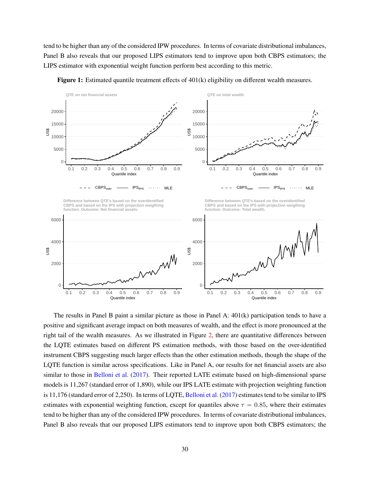tend to be higher than any of the considered IPW procedures. In terms of covariate distributional imbalances, Panel B also reveals that our proposed LIPS estimators tend to improve upon both CBPS estimators; the LIPS estimator with exponential weight function perform best according to this metric.

<span id="page-29-0"></span>

**Figure 1:** Estimated quantile treatment effects of 401(k) eligibility on different wealth measures.

The results in Panel B paint a similar picture as those in Panel A: 401(k) participation tends to have a positive and significant average impact on both measures of wealth, and the effect is more pronounced at the right tail of the wealth measures. As we illustrated in Figure [2,](#page-30-1) there are quantitative differences between the LQTE estimates based on different PS estimation methods, with those based on the over-identified instrument CBPS suggesting much larger effects than the other estimation methods, though the shape of the LQTE function is similar across specifications. Like in Panel A, our results for net financial assets are also similar to those in [Belloni et al.](#page-31-17) [\(2017\)](#page-31-17). Their reported LATE estimate based on high-dimensional sparse models is 11,267 (standard error of 1,890), while our IPS LATE estimate with projection weighting function is 11,176 (standard error of 2,250). In terms of LQTE, [Belloni et al.](#page-31-17) [\(2017\)](#page-31-17) estimates tend to be similar to IPS estimates with exponential weighting function, except for quantiles above  $\tau = 0.85$ , where their estimates tend to be higher than any of the considered IPW procedures. In terms of covariate distributional imbalances, Panel B also reveals that our proposed LIPS estimators tend to improve upon both CBPS estimators; the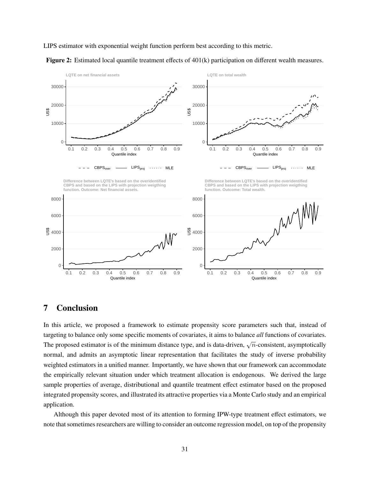

LIPS estimator with exponential weight function perform best according to this metric.



<span id="page-30-1"></span>

# <span id="page-30-0"></span>**7 Conclusion**

In this article, we proposed a framework to estimate propensity score parameters such that, instead of targeting to balance only some specific moments of covariates, it aims to balance *all* functions of covariates. The proposed estimator is of the minimum distance type, and is data-driven,  $\sqrt{n}$ -consistent, asymptotically normal, and admits an asymptotic linear representation that facilitates the study of inverse probability weighted estimators in a unified manner. Importantly, we have shown that our framework can accommodate the empirically relevant situation under which treatment allocation is endogenous. We derived the large sample properties of average, distributional and quantile treatment effect estimator based on the proposed integrated propensity scores, and illustrated its attractive properties via a Monte Carlo study and an empirical application.

Although this paper devoted most of its attention to forming IPW-type treatment effect estimators, we note that sometimes researchers are willing to consider an outcome regression model, on top of the propensity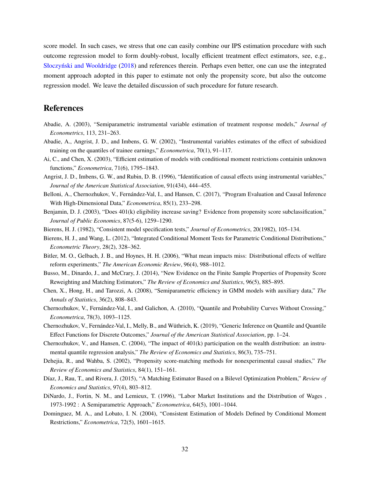score model. In such cases, we stress that one can easily combine our IPS estimation procedure with such outcome regression model to form doubly-robust, locally efficient treatment effect estimators, see, e.g., [Słoczyński and Wooldridge](#page-33-15) [\(2018\)](#page-33-15) and references therein. Perhaps even better, one can use the integrated moment approach adopted in this paper to estimate not only the propensity score, but also the outcome regression model. We leave the detailed discussion of such procedure for future research.

## **References**

- <span id="page-31-3"></span>Abadie, A. (2003), "Semiparametric instrumental variable estimation of treatment response models," *Journal of Econometrics*, 113, 231–263.
- <span id="page-31-14"></span>Abadie, A., Angrist, J. D., and Imbens, G. W. (2002), "Instrumental variables estimates of the effect of subsidized training on the quantiles of trainee earnings," *Econometrica*, 70(1), 91–117.
- <span id="page-31-5"></span>Ai, C., and Chen, X. (2003), "Efficient estimation of models with conditional moment restrictions containin unknown functions," *Econometrica*, 71(6), 1795–1843.
- <span id="page-31-12"></span>Angrist, J. D., Imbens, G. W., and Rubin, D. B. (1996), "Identification of causal effects using instrumental variables," *Journal of the American Statistical Association*, 91(434), 444–455.
- <span id="page-31-17"></span>Belloni, A., Chernozhukov, V., Fernández-Val, I., and Hansen, C. (2017), "Program Evaluation and Causal Inference With High-Dimensional Data," *Econometrica*, 85(1), 233–298.
- <span id="page-31-15"></span>Benjamin, D. J. (2003), "Does 401(k) eligibility increase saving? Evidence from propensity score subclassification," *Journal of Public Economics*, 87(5-6), 1259–1290.
- <span id="page-31-7"></span>Bierens, H. J. (1982), "Consistent model specification tests," *Journal of Econometrics*, 20(1982), 105–134.
- <span id="page-31-8"></span>Bierens, H. J., and Wang, L. (2012), "Integrated Conditional Moment Tests for Parametric Conditional Distributions," *Econometric Theory*, 28(2), 328–362.
- <span id="page-31-6"></span>Bitler, M. O., Gelbach, J. B., and Hoynes, H. H. (2006), "What mean impacts miss: Distributional effects of welfare reform experiments," *The American Economic Review*, 96(4), 988–1012.
- <span id="page-31-10"></span>Busso, M., Dinardo, J., and McCrary, J. (2014), "New Evidence on the Finite Sample Properties of Propensity Score Reweighting and Matching Estimators," *The Review of Economics and Statistics*, 96(5), 885–895.
- <span id="page-31-2"></span>Chen, X., Hong, H., and Tarozzi, A. (2008), "Semiparametric efficiency in GMM models with auxiliary data," *The Annals of Statistics*, 36(2), 808–843.
- <span id="page-31-13"></span>Chernozhukov, V., Fernández-Val, I., and Galichon, A. (2010), "Quantile and Probability Curves Without Crossing," *Econometrica*, 78(3), 1093–1125.
- <span id="page-31-11"></span>Chernozhukov, V., Fernández-Val, I., Melly, B., and Wüthrich, K. (2019), "Generic Inference on Quantile and Quantile Effect Functions for Discrete Outcomes," *Journal of the American Statistical Association*, pp. 1–24.
- <span id="page-31-16"></span>Chernozhukov, V., and Hansen, C. (2004), "The impact of 401(k) participation on the wealth distribution: an instrumental quantile regression analysis," *The Review of Economics and Statistics*, 86(3), 735–751.
- <span id="page-31-0"></span>Dehejia, R., and Wahba, S. (2002), "Propensity score-matching methods for nonexperimental causal studies," *The Review of Economics and Statistics*, 84(1), 151–161.
- <span id="page-31-4"></span>Díaz, J., Rau, T., and Rivera, J. (2015), "A Matching Estimator Based on a Bilevel Optimization Problem," *Review of Economics and Statistics*, 97(4), 803–812.
- <span id="page-31-9"></span>DiNardo, J., Fortin, N. M., and Lemieux, T. (1996), "Labor Market Institutions and the Distribution of Wages , 1973-1992 : A Semiparametric Approach," *Econometrica*, 64(5), 1001–1044.
- <span id="page-31-1"></span>Dominguez, M. A., and Lobato, I. N. (2004), "Consistent Estimation of Models Defined by Conditional Moment Restrictions," *Econometrica*, 72(5), 1601–1615.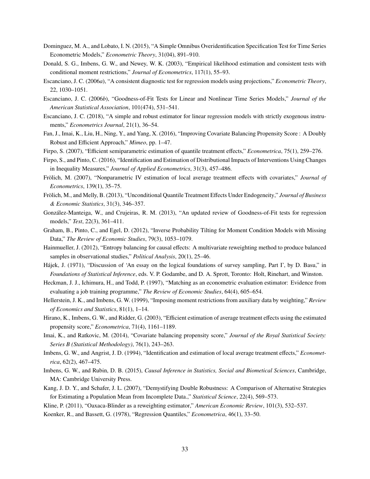- <span id="page-32-17"></span>Dominguez, M. A., and Lobato, I. N. (2015), "A Simple Omnibus Overidentification Specification Test for Time Series Econometric Models," *Econometric Theory*, 31(04), 891–910.
- <span id="page-32-12"></span>Donald, S. G., Imbens, G. W., and Newey, W. K. (2003), "Empirical likelihood estimation and consistent tests with conditional moment restrictions," *Journal of Econometrics*, 117(1), 55–93.
- <span id="page-32-5"></span>Escanciano, J. C. (2006*a*), "A consistent diagnostic test for regression models using projections," *Econometric Theory*, 22, 1030–1051.
- <span id="page-32-16"></span>Escanciano, J. C. (2006*b*), "Goodness-of-Fit Tests for Linear and Nonlinear Time Series Models," *Journal of the American Statistical Association*, 101(474), 531–541.
- <span id="page-32-6"></span>Escanciano, J. C. (2018), "A simple and robust estimator for linear regression models with strictly exogenous instruments," *Econometrics Journal*, 21(1), 36–54.
- <span id="page-32-11"></span>Fan, J., Imai, K., Liu, H., Ning, Y., and Yang, X. (2016), "Improving Covariate Balancing Propensity Score : A Doubly Robust and Efficient Approach," *Mimeo*, pp. 1–47.
- <span id="page-32-14"></span><span id="page-32-8"></span>Firpo, S. (2007), "Efficient semiparametric estimation of quantile treatment effects," *Econometrica*, 75(1), 259–276.
- Firpo, S., and Pinto, C. (2016), "Identification and Estimation of Distributional Impacts of Interventions Using Changes in Inequality Measures," *Journal of Applied Econometrics*, 31(3), 457–486.
- <span id="page-32-22"></span>Frölich, M. (2007), "Nonparametric IV estimation of local average treatment effects with covariates," *Journal of Econometrics*, 139(1), 35–75.
- <span id="page-32-9"></span>Frölich, M., and Melly, B. (2013), "Unconditional Quantile Treatment Effects Under Endogeneity," *Journal of Business & Economic Statistics*, 31(3), 346–357.
- <span id="page-32-15"></span>González-Manteiga, W., and Crujeiras, R. M. (2013), "An updated review of Goodness-of-Fit tests for regression models," *Test*, 22(3), 361–411.
- <span id="page-32-2"></span>Graham, B., Pinto, C., and Egel, D. (2012), "Inverse Probability Tilting for Moment Condition Models with Missing Data," *The Review of Economic Studies*, 79(3), 1053–1079.
- <span id="page-32-3"></span>Hainmueller, J. (2012), "Entropy balancing for causal effects: A multivariate reweighting method to produce balanced samples in observational studies," *Political Analysis*, 20(1), 25–46.
- <span id="page-32-13"></span>Hájek, J. (1971), "Discussion of 'An essay on the logical foundations of survey sampling, Part I', by D. Basu," in *Foundations of Statistical Inference*, eds. V. P. Godambe, and D. A. Sprott, Toronto: Holt, Rinehart, and Winston.
- <span id="page-32-20"></span>Heckman, J. J., Ichimura, H., and Todd, P. (1997), "Matching as an econometric evaluation estimator: Evidence from evaluating a job training programme," *The Review of Economic Studies*, 64(4), 605–654.
- <span id="page-32-10"></span>Hellerstein, J. K., and Imbens, G. W. (1999), "Imposing moment restrictions from auxiliary data by weighting," *Review of Economics and Statistics*, 81(1), 1–14.
- <span id="page-32-7"></span>Hirano, K., Imbens, G. W., and Ridder, G. (2003), "Efficient estimation of average treatment effects using the estimated propensity score," *Econometrica*, 71(4), 1161–1189.
- <span id="page-32-4"></span>Imai, K., and Ratkovic, M. (2014), "Covariate balancing propensity score," *Journal of the Royal Statistical Society: Series B (Statistical Methodology)*, 76(1), 243–263.
- <span id="page-32-21"></span>Imbens, G. W., and Angrist, J. D. (1994), "Identification and estimation of local average treatment effects," *Econometrica*, 62(2), 467–475.
- <span id="page-32-0"></span>Imbens, G. W., and Rubin, D. B. (2015), *Causal Inference in Statistics, Social and Biometical Sciences*, Cambridge, MA: Cambridge University Press.
- <span id="page-32-1"></span>Kang, J. D. Y., and Schafer, J. L. (2007), "Demystifying Double Robustness: A Comparison of Alternative Strategies for Estimating a Population Mean from Incomplete Data.," *Statistical Science*, 22(4), 569–573.

<span id="page-32-19"></span><span id="page-32-18"></span>Kline, P. (2011), "Oaxaca-Blinder as a reweighting estimator," *American Economic Review*, 101(3), 532–537.

Koenker, R., and Bassett, G. (1978), "Regression Quantiles," *Econometrica*, 46(1), 33–50.